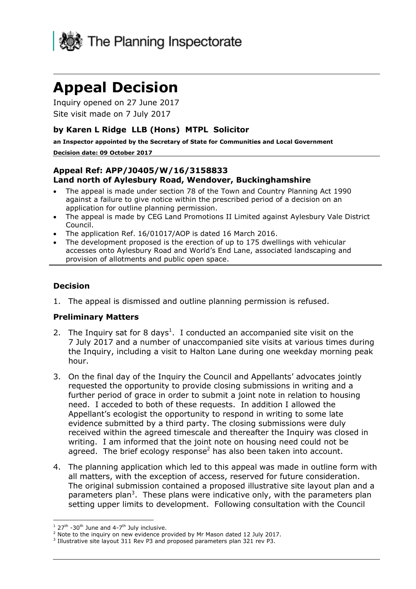

# **Appeal Decision**

Inquiry opened on 27 June 2017 Site visit made on 7 July 2017

## **by Karen L Ridge LLB (Hons) MTPL Solicitor**

**an Inspector appointed by the Secretary of State for Communities and Local Government**

#### **Decision date: 09 October 2017**

#### **Appeal Ref: APP/J0405/W/16/3158833 Land north of Aylesbury Road, Wendover, Buckinghamshire**

- The appeal is made under section 78 of the Town and Country Planning Act 1990 against a failure to give notice within the prescribed period of a decision on an application for outline planning permission.
- The appeal is made by CEG Land Promotions II Limited against Aylesbury Vale District Council.
- The application Ref. 16/01017/AOP is dated 16 March 2016.
- The development proposed is the erection of up to 175 dwellings with vehicular accesses onto Aylesbury Road and World's End Lane, associated landscaping and provision of allotments and public open space.

#### **Decision**

1. The appeal is dismissed and outline planning permission is refused.

#### **Preliminary Matters**

- 2. The Inquiry sat for 8 days<sup>1</sup>. I conducted an accompanied site visit on the 7 July 2017 and a number of unaccompanied site visits at various times during the Inquiry, including a visit to Halton Lane during one weekday morning peak hour.
- 3. On the final day of the Inquiry the Council and Appellants' advocates jointly requested the opportunity to provide closing submissions in writing and a further period of grace in order to submit a joint note in relation to housing need. I acceded to both of these requests. In addition I allowed the Appellant's ecologist the opportunity to respond in writing to some late evidence submitted by a third party. The closing submissions were duly received within the agreed timescale and thereafter the Inquiry was closed in writing. I am informed that the joint note on housing need could not be agreed. The brief ecology response<sup>2</sup> has also been taken into account.
- 4. The planning application which led to this appeal was made in outline form with all matters, with the exception of access, reserved for future consideration. The original submission contained a proposed illustrative site layout plan and a parameters plan<sup>3</sup>. These plans were indicative only, with the parameters plan setting upper limits to development. Following consultation with the Council

j

 $1$  27<sup>th</sup> -30<sup>th</sup> June and 4-7<sup>th</sup> July inclusive.

 $2$  Note to the inquiry on new evidence provided by Mr Mason dated 12 July 2017.

<sup>&</sup>lt;sup>3</sup> Illustrative site layout 311 Rev P3 and proposed parameters plan 321 rev P3.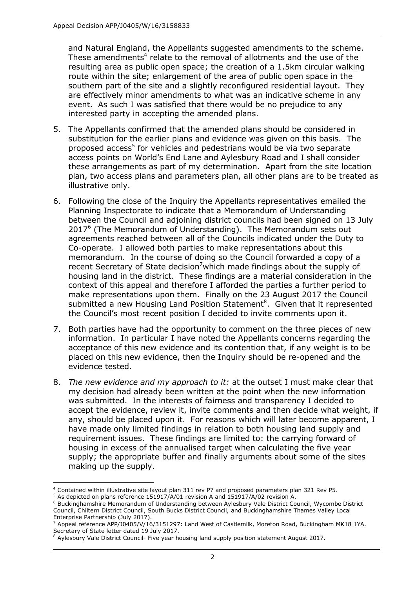and Natural England, the Appellants suggested amendments to the scheme. These amendments<sup>4</sup> relate to the removal of allotments and the use of the resulting area as public open space; the creation of a 1.5km circular walking route within the site; enlargement of the area of public open space in the southern part of the site and a slightly reconfigured residential layout. They are effectively minor amendments to what was an indicative scheme in any event. As such I was satisfied that there would be no prejudice to any interested party in accepting the amended plans.

- 5. The Appellants confirmed that the amended plans should be considered in substitution for the earlier plans and evidence was given on this basis. The proposed access<sup>5</sup> for vehicles and pedestrians would be via two separate access points on World's End Lane and Aylesbury Road and I shall consider these arrangements as part of my determination. Apart from the site location plan, two access plans and parameters plan, all other plans are to be treated as illustrative only.
- 6. Following the close of the Inquiry the Appellants representatives emailed the Planning Inspectorate to indicate that a Memorandum of Understanding between the Council and adjoining district councils had been signed on 13 July 2017<sup>6</sup> (The Memorandum of Understanding). The Memorandum sets out agreements reached between all of the Councils indicated under the Duty to Co-operate. I allowed both parties to make representations about this memorandum. In the course of doing so the Council forwarded a copy of a recent Secretary of State decision<sup>7</sup> which made findings about the supply of housing land in the district. These findings are a material consideration in the context of this appeal and therefore I afforded the parties a further period to make representations upon them. Finally on the 23 August 2017 the Council submitted a new Housing Land Position Statement $8$ . Given that it represented the Council's most recent position I decided to invite comments upon it.
- 7. Both parties have had the opportunity to comment on the three pieces of new information. In particular I have noted the Appellants concerns regarding the acceptance of this new evidence and its contention that, if any weight is to be placed on this new evidence, then the Inquiry should be re-opened and the evidence tested.
- 8. *The new evidence and my approach to it:* at the outset I must make clear that my decision had already been written at the point when the new information was submitted. In the interests of fairness and transparency I decided to accept the evidence, review it, invite comments and then decide what weight, if any, should be placed upon it. For reasons which will later become apparent, I have made only limited findings in relation to both housing land supply and requirement issues. These findings are limited to: the carrying forward of housing in excess of the annualised target when calculating the five year supply; the appropriate buffer and finally arguments about some of the sites making up the supply.

 $\overline{a}$ 

<sup>4</sup> Contained within illustrative site layout plan 311 rev P7 and proposed parameters plan 321 Rev P5.

<sup>5</sup> As depicted on plans reference 151917/A/01 revision A and 151917/A/02 revision A.

<sup>6</sup> Buckinghamshire Memorandum of Understanding between Aylesbury Vale District Council, Wycombe District Council, Chiltern District Council, South Bucks District Council, and Buckinghamshire Thames Valley Local Enterprise Partnership (July 2017).

 $^7$  Appeal reference APP/J0405/V/16/3151297: Land West of Castlemilk, Moreton Road, Buckingham MK18 1YA. Secretary of State letter dated 19 July 2017.

<sup>&</sup>lt;sup>8</sup> Aylesbury Vale District Council- Five year housing land supply position statement August 2017.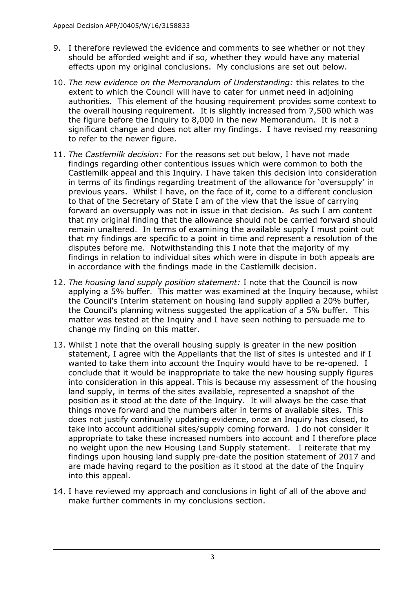- 9. I therefore reviewed the evidence and comments to see whether or not they should be afforded weight and if so, whether they would have any material effects upon my original conclusions. My conclusions are set out below.
- 10. *The new evidence on the Memorandum of Understanding:* this relates to the extent to which the Council will have to cater for unmet need in adjoining authorities. This element of the housing requirement provides some context to the overall housing requirement. It is slightly increased from 7,500 which was the figure before the Inquiry to 8,000 in the new Memorandum. It is not a significant change and does not alter my findings. I have revised my reasoning to refer to the newer figure.
- 11. *The Castlemilk decision:* For the reasons set out below, I have not made findings regarding other contentious issues which were common to both the Castlemilk appeal and this Inquiry. I have taken this decision into consideration in terms of its findings regarding treatment of the allowance for 'oversupply' in previous years. Whilst I have, on the face of it, come to a different conclusion to that of the Secretary of State I am of the view that the issue of carrying forward an oversupply was not in issue in that decision. As such I am content that my original finding that the allowance should not be carried forward should remain unaltered. In terms of examining the available supply I must point out that my findings are specific to a point in time and represent a resolution of the disputes before me. Notwithstanding this I note that the majority of my findings in relation to individual sites which were in dispute in both appeals are in accordance with the findings made in the Castlemilk decision.
- 12. *The housing land supply position statement:* I note that the Council is now applying a 5% buffer. This matter was examined at the Inquiry because, whilst the Council's Interim statement on housing land supply applied a 20% buffer, the Council's planning witness suggested the application of a 5% buffer. This matter was tested at the Inquiry and I have seen nothing to persuade me to change my finding on this matter.
- 13. Whilst I note that the overall housing supply is greater in the new position statement, I agree with the Appellants that the list of sites is untested and if I wanted to take them into account the Inquiry would have to be re-opened. I conclude that it would be inappropriate to take the new housing supply figures into consideration in this appeal. This is because my assessment of the housing land supply, in terms of the sites available, represented a snapshot of the position as it stood at the date of the Inquiry. It will always be the case that things move forward and the numbers alter in terms of available sites. This does not justify continually updating evidence, once an Inquiry has closed, to take into account additional sites/supply coming forward. I do not consider it appropriate to take these increased numbers into account and I therefore place no weight upon the new Housing Land Supply statement. I reiterate that my findings upon housing land supply pre-date the position statement of 2017 and are made having regard to the position as it stood at the date of the Inquiry into this appeal.
- 14. I have reviewed my approach and conclusions in light of all of the above and make further comments in my conclusions section.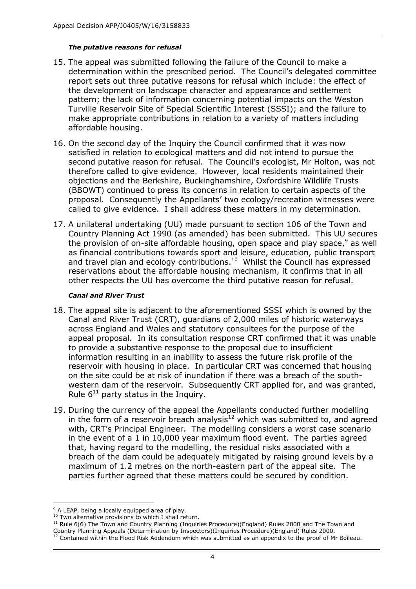#### *The putative reasons for refusal*

- 15. The appeal was submitted following the failure of the Council to make a determination within the prescribed period. The Council's delegated committee report sets out three putative reasons for refusal which include: the effect of the development on landscape character and appearance and settlement pattern; the lack of information concerning potential impacts on the Weston Turville Reservoir Site of Special Scientific Interest (SSSI); and the failure to make appropriate contributions in relation to a variety of matters including affordable housing.
- 16. On the second day of the Inquiry the Council confirmed that it was now satisfied in relation to ecological matters and did not intend to pursue the second putative reason for refusal. The Council's ecologist, Mr Holton, was not therefore called to give evidence. However, local residents maintained their objections and the Berkshire, Buckinghamshire, Oxfordshire Wildlife Trusts (BBOWT) continued to press its concerns in relation to certain aspects of the proposal. Consequently the Appellants' two ecology/recreation witnesses were called to give evidence. I shall address these matters in my determination.
- 17. A unilateral undertaking (UU) made pursuant to section 106 of the Town and Country Planning Act 1990 (as amended) has been submitted. This UU secures the provision of on-site affordable housing, open space and play space,<sup>9</sup> as well as financial contributions towards sport and leisure, education, public transport and travel plan and ecology contributions. $10$  Whilst the Council has expressed reservations about the affordable housing mechanism, it confirms that in all other respects the UU has overcome the third putative reason for refusal.

#### *Canal and River Trust*

- 18. The appeal site is adjacent to the aforementioned SSSI which is owned by the Canal and River Trust (CRT), guardians of 2,000 miles of historic waterways across England and Wales and statutory consultees for the purpose of the appeal proposal. In its consultation response CRT confirmed that it was unable to provide a substantive response to the proposal due to insufficient information resulting in an inability to assess the future risk profile of the reservoir with housing in place. In particular CRT was concerned that housing on the site could be at risk of inundation if there was a breach of the southwestern dam of the reservoir. Subsequently CRT applied for, and was granted, Rule  $6^{11}$  party status in the Inquiry.
- 19. During the currency of the appeal the Appellants conducted further modelling in the form of a reservoir breach analysis $12$  which was submitted to, and agreed with, CRT's Principal Engineer. The modelling considers a worst case scenario in the event of a 1 in 10,000 year maximum flood event. The parties agreed that, having regard to the modelling, the residual risks associated with a breach of the dam could be adequately mitigated by raising ground levels by a maximum of 1.2 metres on the north-eastern part of the appeal site. The parties further agreed that these matters could be secured by condition.

j <sup>9</sup> A LEAP, being a locally equipped area of play.

<sup>&</sup>lt;sup>10</sup> Two alternative provisions to which I shall return.

<sup>&</sup>lt;sup>11</sup> Rule 6(6) The Town and Country Planning (Inquiries Procedure)(England) Rules 2000 and The Town and Country Planning Appeals (Determination by Inspectors)(Inquiries Procedure)(England) Rules 2000.

 $12$  Contained within the Flood Risk Addendum which was submitted as an appendix to the proof of Mr Boileau.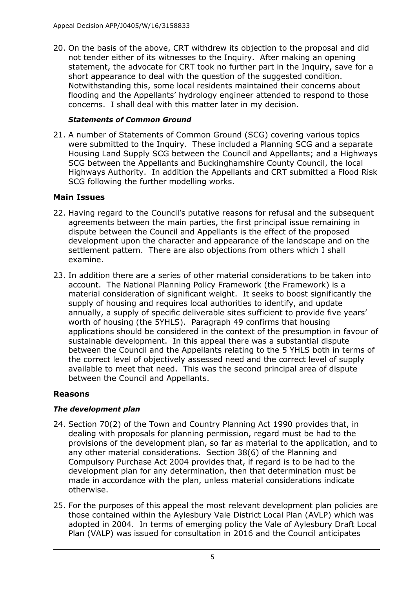20. On the basis of the above, CRT withdrew its objection to the proposal and did not tender either of its witnesses to the Inquiry. After making an opening statement, the advocate for CRT took no further part in the Inquiry, save for a short appearance to deal with the question of the suggested condition. Notwithstanding this, some local residents maintained their concerns about flooding and the Appellants' hydrology engineer attended to respond to those concerns. I shall deal with this matter later in my decision.

## *Statements of Common Ground*

21. A number of Statements of Common Ground (SCG) covering various topics were submitted to the Inquiry. These included a Planning SCG and a separate Housing Land Supply SCG between the Council and Appellants; and a Highways SCG between the Appellants and Buckinghamshire County Council, the local Highways Authority. In addition the Appellants and CRT submitted a Flood Risk SCG following the further modelling works.

# **Main Issues**

- 22. Having regard to the Council's putative reasons for refusal and the subsequent agreements between the main parties, the first principal issue remaining in dispute between the Council and Appellants is the effect of the proposed development upon the character and appearance of the landscape and on the settlement pattern. There are also objections from others which I shall examine.
- 23. In addition there are a series of other material considerations to be taken into account. The National Planning Policy Framework (the Framework) is a material consideration of significant weight. It seeks to boost significantly the supply of housing and requires local authorities to identify, and update annually, a supply of specific deliverable sites sufficient to provide five years' worth of housing (the 5YHLS). Paragraph 49 confirms that housing applications should be considered in the context of the presumption in favour of sustainable development. In this appeal there was a substantial dispute between the Council and the Appellants relating to the 5 YHLS both in terms of the correct level of objectively assessed need and the correct level of supply available to meet that need. This was the second principal area of dispute between the Council and Appellants.

# **Reasons**

# *The development plan*

- 24. Section 70(2) of the Town and Country Planning Act 1990 provides that, in dealing with proposals for planning permission, regard must be had to the provisions of the development plan, so far as material to the application, and to any other material considerations. Section 38(6) of the Planning and Compulsory Purchase Act 2004 provides that, if regard is to be had to the development plan for any determination, then that determination must be made in accordance with the plan, unless material considerations indicate otherwise.
- 25. For the purposes of this appeal the most relevant development plan policies are those contained within the Aylesbury Vale District Local Plan (AVLP) which was adopted in 2004. In terms of emerging policy the Vale of Aylesbury Draft Local Plan (VALP) was issued for consultation in 2016 and the Council anticipates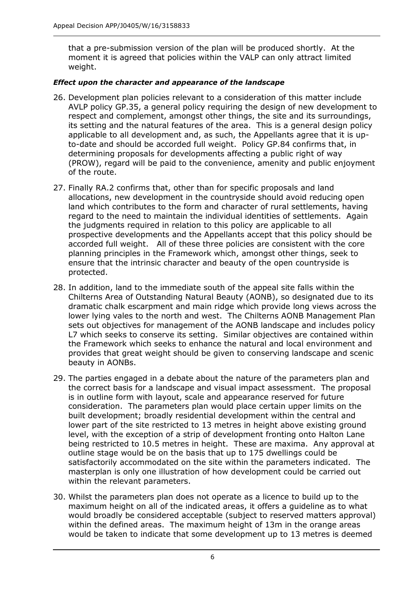that a pre-submission version of the plan will be produced shortly. At the moment it is agreed that policies within the VALP can only attract limited weight.

#### *Effect upon the character and appearance of the landscape*

- 26. Development plan policies relevant to a consideration of this matter include AVLP policy GP.35, a general policy requiring the design of new development to respect and complement, amongst other things, the site and its surroundings, its setting and the natural features of the area. This is a general design policy applicable to all development and, as such, the Appellants agree that it is upto-date and should be accorded full weight. Policy GP.84 confirms that, in determining proposals for developments affecting a public right of way (PROW), regard will be paid to the convenience, amenity and public enjoyment of the route.
- 27. Finally RA.2 confirms that, other than for specific proposals and land allocations, new development in the countryside should avoid reducing open land which contributes to the form and character of rural settlements, having regard to the need to maintain the individual identities of settlements. Again the judgments required in relation to this policy are applicable to all prospective developments and the Appellants accept that this policy should be accorded full weight. All of these three policies are consistent with the core planning principles in the Framework which, amongst other things, seek to ensure that the intrinsic character and beauty of the open countryside is protected.
- 28. In addition, land to the immediate south of the appeal site falls within the Chilterns Area of Outstanding Natural Beauty (AONB), so designated due to its dramatic chalk escarpment and main ridge which provide long views across the lower lying vales to the north and west. The Chilterns AONB Management Plan sets out objectives for management of the AONB landscape and includes policy L7 which seeks to conserve its setting. Similar objectives are contained within the Framework which seeks to enhance the natural and local environment and provides that great weight should be given to conserving landscape and scenic beauty in AONBs.
- 29. The parties engaged in a debate about the nature of the parameters plan and the correct basis for a landscape and visual impact assessment. The proposal is in outline form with layout, scale and appearance reserved for future consideration. The parameters plan would place certain upper limits on the built development; broadly residential development within the central and lower part of the site restricted to 13 metres in height above existing ground level, with the exception of a strip of development fronting onto Halton Lane being restricted to 10.5 metres in height. These are maxima. Any approval at outline stage would be on the basis that up to 175 dwellings could be satisfactorily accommodated on the site within the parameters indicated. The masterplan is only one illustration of how development could be carried out within the relevant parameters.
- 30. Whilst the parameters plan does not operate as a licence to build up to the maximum height on all of the indicated areas, it offers a guideline as to what would broadly be considered acceptable (subject to reserved matters approval) within the defined areas. The maximum height of 13m in the orange areas would be taken to indicate that some development up to 13 metres is deemed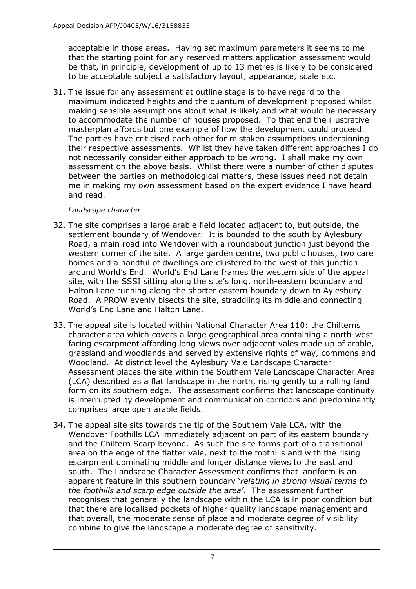acceptable in those areas. Having set maximum parameters it seems to me that the starting point for any reserved matters application assessment would be that, in principle, development of up to 13 metres is likely to be considered to be acceptable subject a satisfactory layout, appearance, scale etc.

31. The issue for any assessment at outline stage is to have regard to the maximum indicated heights and the quantum of development proposed whilst making sensible assumptions about what is likely and what would be necessary to accommodate the number of houses proposed. To that end the illustrative masterplan affords but one example of how the development could proceed. The parties have criticised each other for mistaken assumptions underpinning their respective assessments. Whilst they have taken different approaches I do not necessarily consider either approach to be wrong. I shall make my own assessment on the above basis. Whilst there were a number of other disputes between the parties on methodological matters, these issues need not detain me in making my own assessment based on the expert evidence I have heard and read.

## *Landscape character*

- 32. The site comprises a large arable field located adjacent to, but outside, the settlement boundary of Wendover. It is bounded to the south by Aylesbury Road, a main road into Wendover with a roundabout junction just beyond the western corner of the site. A large garden centre, two public houses, two care homes and a handful of dwellings are clustered to the west of this junction around World's End. World's End Lane frames the western side of the appeal site, with the SSSI sitting along the site's long, north-eastern boundary and Halton Lane running along the shorter eastern boundary down to Aylesbury Road. A PROW evenly bisects the site, straddling its middle and connecting World's End Lane and Halton Lane.
- 33. The appeal site is located within National Character Area 110: the Chilterns character area which covers a large geographical area containing a north-west facing escarpment affording long views over adjacent vales made up of arable, grassland and woodlands and served by extensive rights of way, commons and Woodland. At district level the Aylesbury Vale Landscape Character Assessment places the site within the Southern Vale Landscape Character Area (LCA) described as a flat landscape in the north, rising gently to a rolling land form on its southern edge. The assessment confirms that landscape continuity is interrupted by development and communication corridors and predominantly comprises large open arable fields.
- 34. The appeal site sits towards the tip of the Southern Vale LCA, with the Wendover Foothills LCA immediately adjacent on part of its eastern boundary and the Chiltern Scarp beyond. As such the site forms part of a transitional area on the edge of the flatter vale, next to the foothills and with the rising escarpment dominating middle and longer distance views to the east and south. The Landscape Character Assessment confirms that landform is an apparent feature in this southern boundary '*relating in strong visual terms to the foothills and scarp edge outside the area'*. The assessment further recognises that generally the landscape within the LCA is in poor condition but that there are localised pockets of higher quality landscape management and that overall, the moderate sense of place and moderate degree of visibility combine to give the landscape a moderate degree of sensitivity.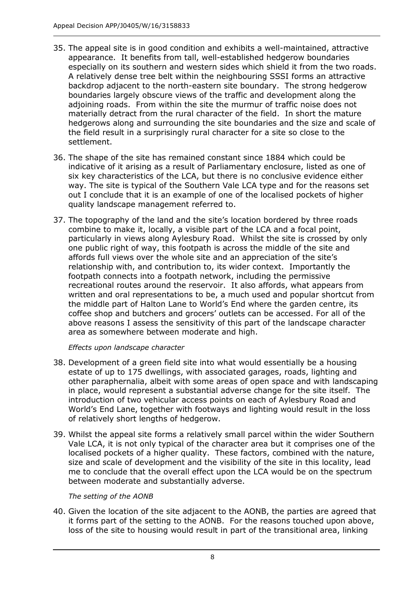- 35. The appeal site is in good condition and exhibits a well-maintained, attractive appearance. It benefits from tall, well-established hedgerow boundaries especially on its southern and western sides which shield it from the two roads. A relatively dense tree belt within the neighbouring SSSI forms an attractive backdrop adjacent to the north-eastern site boundary. The strong hedgerow boundaries largely obscure views of the traffic and development along the adjoining roads. From within the site the murmur of traffic noise does not materially detract from the rural character of the field. In short the mature hedgerows along and surrounding the site boundaries and the size and scale of the field result in a surprisingly rural character for a site so close to the settlement.
- 36. The shape of the site has remained constant since 1884 which could be indicative of it arising as a result of Parliamentary enclosure, listed as one of six key characteristics of the LCA, but there is no conclusive evidence either way. The site is typical of the Southern Vale LCA type and for the reasons set out I conclude that it is an example of one of the localised pockets of higher quality landscape management referred to.
- 37. The topography of the land and the site's location bordered by three roads combine to make it, locally, a visible part of the LCA and a focal point, particularly in views along Aylesbury Road. Whilst the site is crossed by only one public right of way, this footpath is across the middle of the site and affords full views over the whole site and an appreciation of the site's relationship with, and contribution to, its wider context. Importantly the footpath connects into a footpath network, including the permissive recreational routes around the reservoir. It also affords, what appears from written and oral representations to be, a much used and popular shortcut from the middle part of Halton Lane to World's End where the garden centre, its coffee shop and butchers and grocers' outlets can be accessed. For all of the above reasons I assess the sensitivity of this part of the landscape character area as somewhere between moderate and high.

*Effects upon landscape character*

- 38. Development of a green field site into what would essentially be a housing estate of up to 175 dwellings, with associated garages, roads, lighting and other paraphernalia, albeit with some areas of open space and with landscaping in place, would represent a substantial adverse change for the site itself. The introduction of two vehicular access points on each of Aylesbury Road and World's End Lane, together with footways and lighting would result in the loss of relatively short lengths of hedgerow.
- 39. Whilst the appeal site forms a relatively small parcel within the wider Southern Vale LCA, it is not only typical of the character area but it comprises one of the localised pockets of a higher quality. These factors, combined with the nature, size and scale of development and the visibility of the site in this locality, lead me to conclude that the overall effect upon the LCA would be on the spectrum between moderate and substantially adverse.

*The setting of the AONB*

40. Given the location of the site adjacent to the AONB, the parties are agreed that it forms part of the setting to the AONB. For the reasons touched upon above, loss of the site to housing would result in part of the transitional area, linking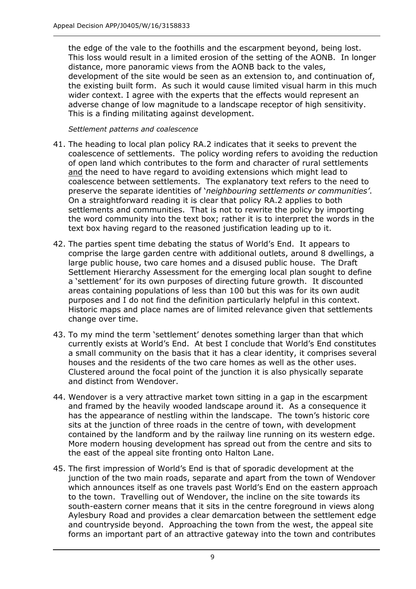the edge of the vale to the foothills and the escarpment beyond, being lost. This loss would result in a limited erosion of the setting of the AONB. In longer distance, more panoramic views from the AONB back to the vales, development of the site would be seen as an extension to, and continuation of, the existing built form. As such it would cause limited visual harm in this much wider context. I agree with the experts that the effects would represent an adverse change of low magnitude to a landscape receptor of high sensitivity. This is a finding militating against development.

*Settlement patterns and coalescence*

- 41. The heading to local plan policy RA.2 indicates that it seeks to prevent the coalescence of settlements. The policy wording refers to avoiding the reduction of open land which contributes to the form and character of rural settlements and the need to have regard to avoiding extensions which might lead to coalescence between settlements. The explanatory text refers to the need to preserve the separate identities of '*neighbouring settlements or communities'*. On a straightforward reading it is clear that policy RA.2 applies to both settlements and communities. That is not to rewrite the policy by importing the word community into the text box; rather it is to interpret the words in the text box having regard to the reasoned justification leading up to it.
- 42. The parties spent time debating the status of World's End. It appears to comprise the large garden centre with additional outlets, around 8 dwellings, a large public house, two care homes and a disused public house. The Draft Settlement Hierarchy Assessment for the emerging local plan sought to define a 'settlement' for its own purposes of directing future growth. It discounted areas containing populations of less than 100 but this was for its own audit purposes and I do not find the definition particularly helpful in this context. Historic maps and place names are of limited relevance given that settlements change over time.
- 43. To my mind the term 'settlement' denotes something larger than that which currently exists at World's End. At best I conclude that World's End constitutes a small community on the basis that it has a clear identity, it comprises several houses and the residents of the two care homes as well as the other uses. Clustered around the focal point of the junction it is also physically separate and distinct from Wendover.
- 44. Wendover is a very attractive market town sitting in a gap in the escarpment and framed by the heavily wooded landscape around it. As a consequence it has the appearance of nestling within the landscape. The town's historic core sits at the junction of three roads in the centre of town, with development contained by the landform and by the railway line running on its western edge. More modern housing development has spread out from the centre and sits to the east of the appeal site fronting onto Halton Lane.
- 45. The first impression of World's End is that of sporadic development at the junction of the two main roads, separate and apart from the town of Wendover which announces itself as one travels past World's End on the eastern approach to the town. Travelling out of Wendover, the incline on the site towards its south-eastern corner means that it sits in the centre foreground in views along Aylesbury Road and provides a clear demarcation between the settlement edge and countryside beyond. Approaching the town from the west, the appeal site forms an important part of an attractive gateway into the town and contributes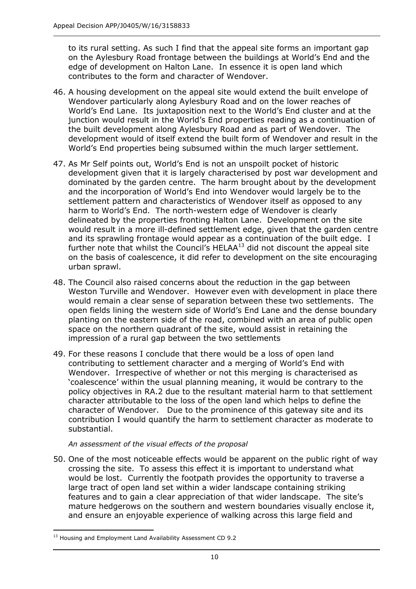to its rural setting. As such I find that the appeal site forms an important gap on the Aylesbury Road frontage between the buildings at World's End and the edge of development on Halton Lane. In essence it is open land which contributes to the form and character of Wendover.

- 46. A housing development on the appeal site would extend the built envelope of Wendover particularly along Aylesbury Road and on the lower reaches of World's End Lane. Its juxtaposition next to the World's End cluster and at the junction would result in the World's End properties reading as a continuation of the built development along Aylesbury Road and as part of Wendover. The development would of itself extend the built form of Wendover and result in the World's End properties being subsumed within the much larger settlement.
- 47. As Mr Self points out, World's End is not an unspoilt pocket of historic development given that it is largely characterised by post war development and dominated by the garden centre. The harm brought about by the development and the incorporation of World's End into Wendover would largely be to the settlement pattern and characteristics of Wendover itself as opposed to any harm to World's End. The north-western edge of Wendover is clearly delineated by the properties fronting Halton Lane. Development on the site would result in a more ill-defined settlement edge, given that the garden centre and its sprawling frontage would appear as a continuation of the built edge. I further note that whilst the Council's HELAA $13$  did not discount the appeal site on the basis of coalescence, it did refer to development on the site encouraging urban sprawl.
- 48. The Council also raised concerns about the reduction in the gap between Weston Turville and Wendover. However even with development in place there would remain a clear sense of separation between these two settlements. The open fields lining the western side of World's End Lane and the dense boundary planting on the eastern side of the road, combined with an area of public open space on the northern quadrant of the site, would assist in retaining the impression of a rural gap between the two settlements
- 49. For these reasons I conclude that there would be a loss of open land contributing to settlement character and a merging of World's End with Wendover. Irrespective of whether or not this merging is characterised as 'coalescence' within the usual planning meaning, it would be contrary to the policy objectives in RA.2 due to the resultant material harm to that settlement character attributable to the loss of the open land which helps to define the character of Wendover. Due to the prominence of this gateway site and its contribution I would quantify the harm to settlement character as moderate to substantial.

#### *An assessment of the visual effects of the proposal*

50. One of the most noticeable effects would be apparent on the public right of way crossing the site. To assess this effect it is important to understand what would be lost. Currently the footpath provides the opportunity to traverse a large tract of open land set within a wider landscape containing striking features and to gain a clear appreciation of that wider landscape. The site's mature hedgerows on the southern and western boundaries visually enclose it, and ensure an enjoyable experience of walking across this large field and

<sup>-</sup><sup>13</sup> Housing and Employment Land Availability Assessment CD 9.2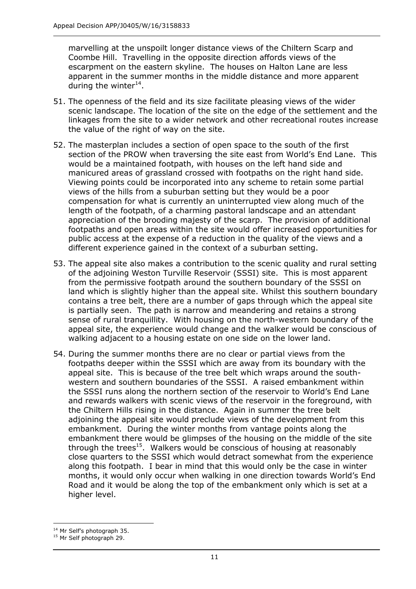marvelling at the unspoilt longer distance views of the Chiltern Scarp and Coombe Hill. Travelling in the opposite direction affords views of the escarpment on the eastern skyline. The houses on Halton Lane are less apparent in the summer months in the middle distance and more apparent during the winter $^{14}$ .

- 51. The openness of the field and its size facilitate pleasing views of the wider scenic landscape. The location of the site on the edge of the settlement and the linkages from the site to a wider network and other recreational routes increase the value of the right of way on the site.
- 52. The masterplan includes a section of open space to the south of the first section of the PROW when traversing the site east from World's End Lane. This would be a maintained footpath, with houses on the left hand side and manicured areas of grassland crossed with footpaths on the right hand side. Viewing points could be incorporated into any scheme to retain some partial views of the hills from a suburban setting but they would be a poor compensation for what is currently an uninterrupted view along much of the length of the footpath, of a charming pastoral landscape and an attendant appreciation of the brooding majesty of the scarp. The provision of additional footpaths and open areas within the site would offer increased opportunities for public access at the expense of a reduction in the quality of the views and a different experience gained in the context of a suburban setting.
- 53. The appeal site also makes a contribution to the scenic quality and rural setting of the adjoining Weston Turville Reservoir (SSSI) site. This is most apparent from the permissive footpath around the southern boundary of the SSSI on land which is slightly higher than the appeal site. Whilst this southern boundary contains a tree belt, there are a number of gaps through which the appeal site is partially seen. The path is narrow and meandering and retains a strong sense of rural tranquillity. With housing on the north-western boundary of the appeal site, the experience would change and the walker would be conscious of walking adjacent to a housing estate on one side on the lower land.
- 54. During the summer months there are no clear or partial views from the footpaths deeper within the SSSI which are away from its boundary with the appeal site. This is because of the tree belt which wraps around the southwestern and southern boundaries of the SSSI. A raised embankment within the SSSI runs along the northern section of the reservoir to World's End Lane and rewards walkers with scenic views of the reservoir in the foreground, with the Chiltern Hills rising in the distance. Again in summer the tree belt adjoining the appeal site would preclude views of the development from this embankment. During the winter months from vantage points along the embankment there would be glimpses of the housing on the middle of the site through the trees<sup>15</sup>. Walkers would be conscious of housing at reasonably close quarters to the SSSI which would detract somewhat from the experience along this footpath. I bear in mind that this would only be the case in winter months, it would only occur when walking in one direction towards World's End Road and it would be along the top of the embankment only which is set at a higher level.

j <sup>14</sup> Mr Self's photograph 35.

<sup>&</sup>lt;sup>15</sup> Mr Self photograph 29.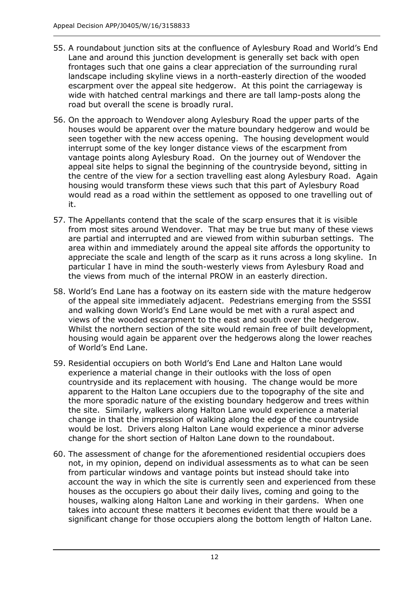- 55. A roundabout junction sits at the confluence of Aylesbury Road and World's End Lane and around this junction development is generally set back with open frontages such that one gains a clear appreciation of the surrounding rural landscape including skyline views in a north-easterly direction of the wooded escarpment over the appeal site hedgerow. At this point the carriageway is wide with hatched central markings and there are tall lamp-posts along the road but overall the scene is broadly rural.
- 56. On the approach to Wendover along Aylesbury Road the upper parts of the houses would be apparent over the mature boundary hedgerow and would be seen together with the new access opening. The housing development would interrupt some of the key longer distance views of the escarpment from vantage points along Aylesbury Road. On the journey out of Wendover the appeal site helps to signal the beginning of the countryside beyond, sitting in the centre of the view for a section travelling east along Aylesbury Road. Again housing would transform these views such that this part of Aylesbury Road would read as a road within the settlement as opposed to one travelling out of it.
- 57. The Appellants contend that the scale of the scarp ensures that it is visible from most sites around Wendover. That may be true but many of these views are partial and interrupted and are viewed from within suburban settings. The area within and immediately around the appeal site affords the opportunity to appreciate the scale and length of the scarp as it runs across a long skyline. In particular I have in mind the south-westerly views from Aylesbury Road and the views from much of the internal PROW in an easterly direction.
- 58. World's End Lane has a footway on its eastern side with the mature hedgerow of the appeal site immediately adjacent. Pedestrians emerging from the SSSI and walking down World's End Lane would be met with a rural aspect and views of the wooded escarpment to the east and south over the hedgerow. Whilst the northern section of the site would remain free of built development, housing would again be apparent over the hedgerows along the lower reaches of World's End Lane.
- 59. Residential occupiers on both World's End Lane and Halton Lane would experience a material change in their outlooks with the loss of open countryside and its replacement with housing. The change would be more apparent to the Halton Lane occupiers due to the topography of the site and the more sporadic nature of the existing boundary hedgerow and trees within the site. Similarly, walkers along Halton Lane would experience a material change in that the impression of walking along the edge of the countryside would be lost. Drivers along Halton Lane would experience a minor adverse change for the short section of Halton Lane down to the roundabout.
- 60. The assessment of change for the aforementioned residential occupiers does not, in my opinion, depend on individual assessments as to what can be seen from particular windows and vantage points but instead should take into account the way in which the site is currently seen and experienced from these houses as the occupiers go about their daily lives, coming and going to the houses, walking along Halton Lane and working in their gardens. When one takes into account these matters it becomes evident that there would be a significant change for those occupiers along the bottom length of Halton Lane.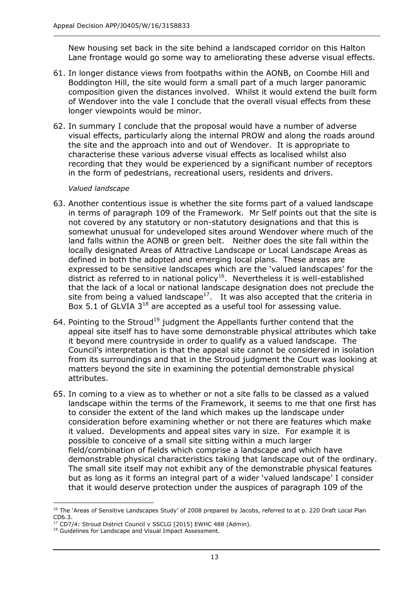New housing set back in the site behind a landscaped corridor on this Halton Lane frontage would go some way to ameliorating these adverse visual effects.

- 61. In longer distance views from footpaths within the AONB, on Coombe Hill and Boddington Hill, the site would form a small part of a much larger panoramic composition given the distances involved. Whilst it would extend the built form of Wendover into the vale I conclude that the overall visual effects from these longer viewpoints would be minor.
- 62. In summary I conclude that the proposal would have a number of adverse visual effects, particularly along the internal PROW and along the roads around the site and the approach into and out of Wendover. It is appropriate to characterise these various adverse visual effects as localised whilst also recording that they would be experienced by a significant number of receptors in the form of pedestrians, recreational users, residents and drivers.

#### *Valued landscape*

- 63. Another contentious issue is whether the site forms part of a valued landscape in terms of paragraph 109 of the Framework. Mr Self points out that the site is not covered by any statutory or non-statutory designations and that this is somewhat unusual for undeveloped sites around Wendover where much of the land falls within the AONB or green belt. Neither does the site fall within the locally designated Areas of Attractive Landscape or Local Landscape Areas as defined in both the adopted and emerging local plans. These areas are expressed to be sensitive landscapes which are the 'valued landscapes' for the district as referred to in national policy<sup>16</sup>. Nevertheless it is well-established that the lack of a local or national landscape designation does not preclude the site from being a valued landscape<sup>17</sup>. It was also accepted that the criteria in Box 5.1 of GLVIA  $3^{18}$  are accepted as a useful tool for assessing value.
- 64. Pointing to the Stroud<sup>19</sup> judgment the Appellants further contend that the appeal site itself has to have some demonstrable physical attributes which take it beyond mere countryside in order to qualify as a valued landscape. The Council's interpretation is that the appeal site cannot be considered in isolation from its surroundings and that in the Stroud judgment the Court was looking at matters beyond the site in examining the potential demonstrable physical attributes.
- 65. In coming to a view as to whether or not a site falls to be classed as a valued landscape within the terms of the Framework, it seems to me that one first has to consider the extent of the land which makes up the landscape under consideration before examining whether or not there are features which make it valued. Developments and appeal sites vary in size. For example it is possible to conceive of a small site sitting within a much larger field/combination of fields which comprise a landscape and which have demonstrable physical characteristics taking that landscape out of the ordinary. The small site itself may not exhibit any of the demonstrable physical features but as long as it forms an integral part of a wider 'valued landscape' I consider that it would deserve protection under the auspices of paragraph 109 of the

j <sup>16</sup> The 'Areas of Sensitive Landscapes Study' of 2008 prepared by Jacobs, referred to at p. 220 Draft Local Plan CD6.3.

<sup>&</sup>lt;sup>17</sup> CD7/4: Stroud District Council v SSCLG [2015] EWHC 488 (Admin).

<sup>&</sup>lt;sup>18</sup> Guidelines for Landscape and Visual Impact Assessment.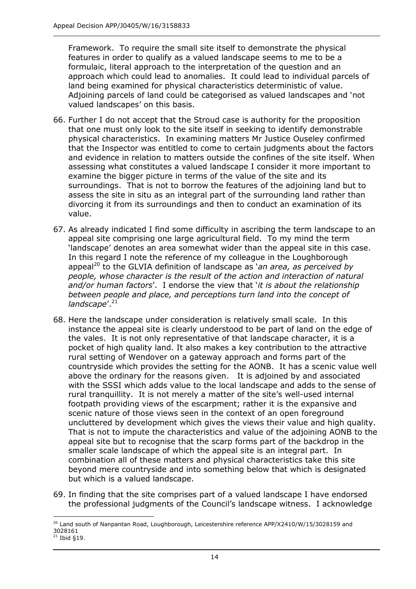Framework. To require the small site itself to demonstrate the physical features in order to qualify as a valued landscape seems to me to be a formulaic, literal approach to the interpretation of the question and an approach which could lead to anomalies. It could lead to individual parcels of land being examined for physical characteristics deterministic of value. Adjoining parcels of land could be categorised as valued landscapes and 'not valued landscapes' on this basis.

- 66. Further I do not accept that the Stroud case is authority for the proposition that one must only look to the site itself in seeking to identify demonstrable physical characteristics. In examining matters Mr Justice Ouseley confirmed that the Inspector was entitled to come to certain judgments about the factors and evidence in relation to matters outside the confines of the site itself. When assessing what constitutes a valued landscape I consider it more important to examine the bigger picture in terms of the value of the site and its surroundings. That is not to borrow the features of the adjoining land but to assess the site in situ as an integral part of the surrounding land rather than divorcing it from its surroundings and then to conduct an examination of its value.
- 67. As already indicated I find some difficulty in ascribing the term landscape to an appeal site comprising one large agricultural field. To my mind the term 'landscape' denotes an area somewhat wider than the appeal site in this case. In this regard I note the reference of my colleague in the Loughborough appeal<sup>20</sup> to the GLVIA definition of landscape as *'an area, as perceived by people, whose character is the result of the action and interaction of natural and/or human factors*'. I endorse the view that '*it is about the relationship between people and place, and perceptions turn land into the concept of*  landscape'.<sup>21</sup>
- 68. Here the landscape under consideration is relatively small scale. In this instance the appeal site is clearly understood to be part of land on the edge of the vales. It is not only representative of that landscape character, it is a pocket of high quality land. It also makes a key contribution to the attractive rural setting of Wendover on a gateway approach and forms part of the countryside which provides the setting for the AONB. It has a scenic value well above the ordinary for the reasons given. It is adjoined by and associated with the SSSI which adds value to the local landscape and adds to the sense of rural tranquillity. It is not merely a matter of the site's well-used internal footpath providing views of the escarpment; rather it is the expansive and scenic nature of those views seen in the context of an open foreground uncluttered by development which gives the views their value and high quality. That is not to impute the characteristics and value of the adjoining AONB to the appeal site but to recognise that the scarp forms part of the backdrop in the smaller scale landscape of which the appeal site is an integral part. In combination all of these matters and physical characteristics take this site beyond mere countryside and into something below that which is designated but which is a valued landscape.
- 69. In finding that the site comprises part of a valued landscape I have endorsed the professional judgments of the Council's landscape witness. I acknowledge

j <sup>20</sup> Land south of Nanpantan Road, Loughborough, Leicestershire reference APP/X2410/W/15/3028159 and 3028161

 $21$  Ibid §19.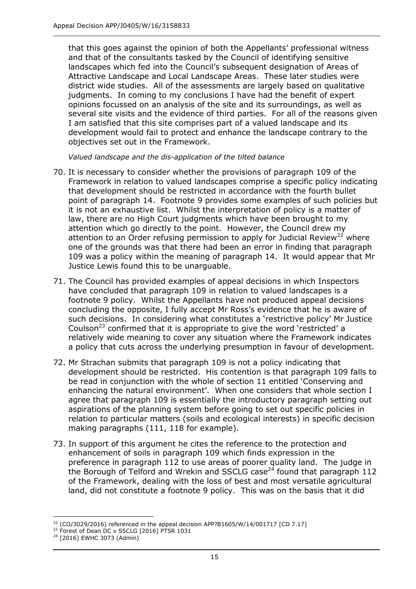that this goes against the opinion of both the Appellants' professional witness and that of the consultants tasked by the Council of identifying sensitive landscapes which fed into the Council's subsequent designation of Areas of Attractive Landscape and Local Landscape Areas. These later studies were district wide studies. All of the assessments are largely based on qualitative judgments. In coming to my conclusions I have had the benefit of expert opinions focussed on an analysis of the site and its surroundings, as well as several site visits and the evidence of third parties. For all of the reasons given I am satisfied that this site comprises part of a valued landscape and its development would fail to protect and enhance the landscape contrary to the objectives set out in the Framework.

*Valued landscape and the dis-application of the tilted balance*

- 70. It is necessary to consider whether the provisions of paragraph 109 of the Framework in relation to valued landscapes comprise a specific policy indicating that development should be restricted in accordance with the fourth bullet point of paragraph 14. Footnote 9 provides some examples of such policies but it is not an exhaustive list. Whilst the interpretation of policy is a matter of law, there are no High Court judgments which have been brought to my attention which go directly to the point. However, the Council drew my attention to an Order refusing permission to apply for Judicial Review<sup>22</sup> where one of the grounds was that there had been an error in finding that paragraph 109 was a policy within the meaning of paragraph 14. It would appear that Mr Justice Lewis found this to be unarguable.
- 71. The Council has provided examples of appeal decisions in which Inspectors have concluded that paragraph 109 in relation to valued landscapes is a footnote 9 policy. Whilst the Appellants have not produced appeal decisions concluding the opposite, I fully accept Mr Ross's evidence that he is aware of such decisions. In considering what constitutes a 'restrictive policy' Mr Justice Coulson<sup>23</sup> confirmed that it is appropriate to give the word 'restricted' a relatively wide meaning to cover any situation where the Framework indicates a policy that cuts across the underlying presumption in favour of development.
- 72. Mr Strachan submits that paragraph 109 is not a policy indicating that development should be restricted. His contention is that paragraph 109 falls to be read in conjunction with the whole of section 11 entitled 'Conserving and enhancing the natural environment'. When one considers that whole section I agree that paragraph 109 is essentially the introductory paragraph setting out aspirations of the planning system before going to set out specific policies in relation to particular matters (soils and ecological interests) in specific decision making paragraphs (111, 118 for example).
- 73. In support of this argument he cites the reference to the protection and enhancement of soils in paragraph 109 which finds expression in the preference in paragraph 112 to use areas of poorer quality land. The judge in the Borough of Telford and Wrekin and SSCLG case<sup>24</sup> found that paragraph 112 of the Framework, dealing with the loss of best and most versatile agricultural land, did not constitute a footnote 9 policy. This was on the basis that it did

j <sup>22</sup> (CO/3029/2016) referenced in the appeal decision APP?B1605/W/14/001717 [CD 7.17]

<sup>&</sup>lt;sup>23</sup> Forest of Dean DC v SSCLG [2016] PTSR 1031

<sup>&</sup>lt;sup>24</sup> [2016] EWHC 3073 (Admin)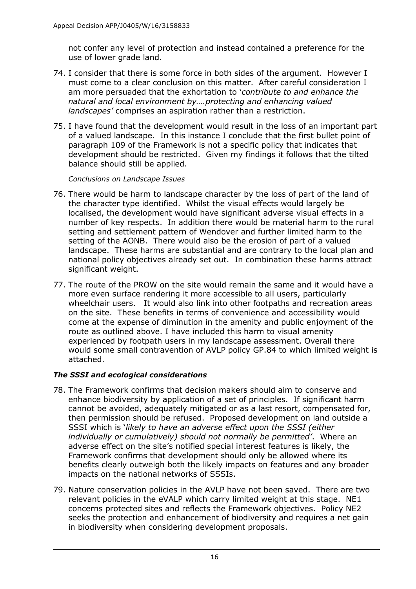not confer any level of protection and instead contained a preference for the use of lower grade land.

- 74. I consider that there is some force in both sides of the argument. However I must come to a clear conclusion on this matter. After careful consideration I am more persuaded that the exhortation to '*contribute to and enhance the natural and local environment by….protecting and enhancing valued landscapes'* comprises an aspiration rather than a restriction.
- 75. I have found that the development would result in the loss of an important part of a valued landscape. In this instance I conclude that the first bullet point of paragraph 109 of the Framework is not a specific policy that indicates that development should be restricted. Given my findings it follows that the tilted balance should still be applied.

#### *Conclusions on Landscape Issues*

- 76. There would be harm to landscape character by the loss of part of the land of the character type identified. Whilst the visual effects would largely be localised, the development would have significant adverse visual effects in a number of key respects. In addition there would be material harm to the rural setting and settlement pattern of Wendover and further limited harm to the setting of the AONB. There would also be the erosion of part of a valued landscape. These harms are substantial and are contrary to the local plan and national policy objectives already set out. In combination these harms attract significant weight.
- 77. The route of the PROW on the site would remain the same and it would have a more even surface rendering it more accessible to all users, particularly wheelchair users. It would also link into other footpaths and recreation areas on the site. These benefits in terms of convenience and accessibility would come at the expense of diminution in the amenity and public enjoyment of the route as outlined above. I have included this harm to visual amenity experienced by footpath users in my landscape assessment. Overall there would some small contravention of AVLP policy GP.84 to which limited weight is attached.

#### *The SSSI and ecological considerations*

- 78. The Framework confirms that decision makers should aim to conserve and enhance biodiversity by application of a set of principles. If significant harm cannot be avoided, adequately mitigated or as a last resort, compensated for, then permission should be refused. Proposed development on land outside a SSSI which is '*likely to have an adverse effect upon the SSSI (either individually or cumulatively) should not normally be permitted'*. Where an adverse effect on the site's notified special interest features is likely, the Framework confirms that development should only be allowed where its benefits clearly outweigh both the likely impacts on features and any broader impacts on the national networks of SSSIs.
- 79. Nature conservation policies in the AVLP have not been saved. There are two relevant policies in the eVALP which carry limited weight at this stage. NE1 concerns protected sites and reflects the Framework objectives. Policy NE2 seeks the protection and enhancement of biodiversity and requires a net gain in biodiversity when considering development proposals.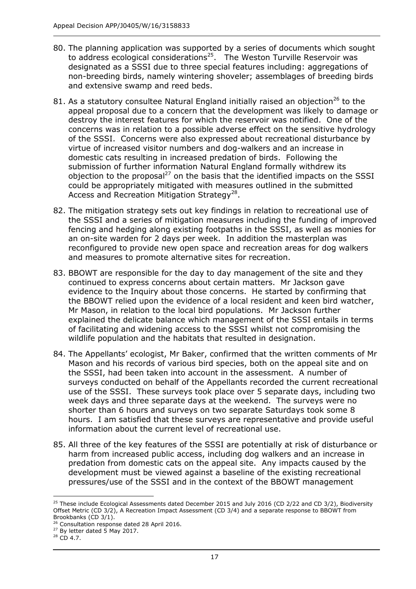- 80. The planning application was supported by a series of documents which sought to address ecological considerations<sup>25</sup>. The Weston Turville Reservoir was designated as a SSSI due to three special features including: aggregations of non-breeding birds, namely wintering shoveler; assemblages of breeding birds and extensive swamp and reed beds.
- 81. As a statutory consultee Natural England initially raised an objection<sup>26</sup> to the appeal proposal due to a concern that the development was likely to damage or destroy the interest features for which the reservoir was notified. One of the concerns was in relation to a possible adverse effect on the sensitive hydrology of the SSSI. Concerns were also expressed about recreational disturbance by virtue of increased visitor numbers and dog-walkers and an increase in domestic cats resulting in increased predation of birds. Following the submission of further information Natural England formally withdrew its objection to the proposal<sup>27</sup> on the basis that the identified impacts on the SSSI could be appropriately mitigated with measures outlined in the submitted Access and Recreation Mitigation Strategy<sup>28</sup>.
- 82. The mitigation strategy sets out key findings in relation to recreational use of the SSSI and a series of mitigation measures including the funding of improved fencing and hedging along existing footpaths in the SSSI, as well as monies for an on-site warden for 2 days per week. In addition the masterplan was reconfigured to provide new open space and recreation areas for dog walkers and measures to promote alternative sites for recreation.
- 83. BBOWT are responsible for the day to day management of the site and they continued to express concerns about certain matters. Mr Jackson gave evidence to the Inquiry about those concerns. He started by confirming that the BBOWT relied upon the evidence of a local resident and keen bird watcher, Mr Mason, in relation to the local bird populations. Mr Jackson further explained the delicate balance which management of the SSSI entails in terms of facilitating and widening access to the SSSI whilst not compromising the wildlife population and the habitats that resulted in designation.
- 84. The Appellants' ecologist, Mr Baker, confirmed that the written comments of Mr Mason and his records of various bird species, both on the appeal site and on the SSSI, had been taken into account in the assessment. A number of surveys conducted on behalf of the Appellants recorded the current recreational use of the SSSI. These surveys took place over 5 separate days, including two week days and three separate days at the weekend. The surveys were no shorter than 6 hours and surveys on two separate Saturdays took some 8 hours. I am satisfied that these surveys are representative and provide useful information about the current level of recreational use.
- 85. All three of the key features of the SSSI are potentially at risk of disturbance or harm from increased public access, including dog walkers and an increase in predation from domestic cats on the appeal site. Any impacts caused by the development must be viewed against a baseline of the existing recreational pressures/use of the SSSI and in the context of the BBOWT management

j <sup>25</sup> These include Ecological Assessments dated December 2015 and July 2016 (CD 2/22 and CD 3/2), Biodiversity Offset Metric (CD 3/2), A Recreation Impact Assessment (CD 3/4) and a separate response to BBOWT from Brookbanks (CD 3/1).

<sup>&</sup>lt;sup>26</sup> Consultation response dated 28 April 2016.

 $27$  By letter dated 5 May 2017.

<sup>&</sup>lt;sup>28</sup> CD 4.7.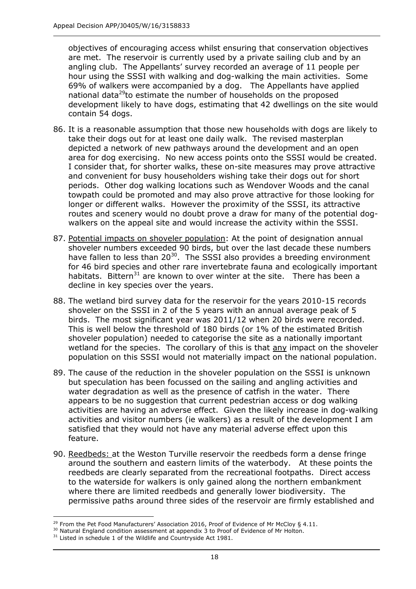objectives of encouraging access whilst ensuring that conservation objectives are met. The reservoir is currently used by a private sailing club and by an angling club. The Appellants' survey recorded an average of 11 people per hour using the SSSI with walking and dog-walking the main activities. Some 69% of walkers were accompanied by a dog. The Appellants have applied national data<sup>29</sup>to estimate the number of households on the proposed development likely to have dogs, estimating that 42 dwellings on the site would contain 54 dogs.

- 86. It is a reasonable assumption that those new households with dogs are likely to take their dogs out for at least one daily walk. The revised masterplan depicted a network of new pathways around the development and an open area for dog exercising. No new access points onto the SSSI would be created. I consider that, for shorter walks, these on-site measures may prove attractive and convenient for busy householders wishing take their dogs out for short periods. Other dog walking locations such as Wendover Woods and the canal towpath could be promoted and may also prove attractive for those looking for longer or different walks. However the proximity of the SSSI, its attractive routes and scenery would no doubt prove a draw for many of the potential dogwalkers on the appeal site and would increase the activity within the SSSI.
- 87. Potential impacts on shoveler population: At the point of designation annual shoveler numbers exceeded 90 birds, but over the last decade these numbers have fallen to less than  $20^{30}$ . The SSSI also provides a breeding environment for 46 bird species and other rare invertebrate fauna and ecologically important habitats. Bittern<sup>31</sup> are known to over winter at the site. There has been a decline in key species over the years.
- 88. The wetland bird survey data for the reservoir for the years 2010-15 records shoveler on the SSSI in 2 of the 5 years with an annual average peak of 5 birds. The most significant year was 2011/12 when 20 birds were recorded. This is well below the threshold of 180 birds (or 1% of the estimated British shoveler population) needed to categorise the site as a nationally important wetland for the species. The corollary of this is that any impact on the shoveler population on this SSSI would not materially impact on the national population.
- 89. The cause of the reduction in the shoveler population on the SSSI is unknown but speculation has been focussed on the sailing and angling activities and water degradation as well as the presence of catfish in the water. There appears to be no suggestion that current pedestrian access or dog walking activities are having an adverse effect. Given the likely increase in dog-walking activities and visitor numbers (ie walkers) as a result of the development I am satisfied that they would not have any material adverse effect upon this feature.
- 90. Reedbeds: at the Weston Turville reservoir the reedbeds form a dense fringe around the southern and eastern limits of the waterbody. At these points the reedbeds are clearly separated from the recreational footpaths. Direct access to the waterside for walkers is only gained along the northern embankment where there are limited reedbeds and generally lower biodiversity. The permissive paths around three sides of the reservoir are firmly established and

j <sup>29</sup> From the Pet Food Manufacturers' Association 2016, Proof of Evidence of Mr McCloy § 4.11.

 $30$  Natural England condition assessment at appendix  $3$  to Proof of Evidence of Mr Holton.

<sup>&</sup>lt;sup>31</sup> Listed in schedule 1 of the Wildlife and Countryside Act 1981.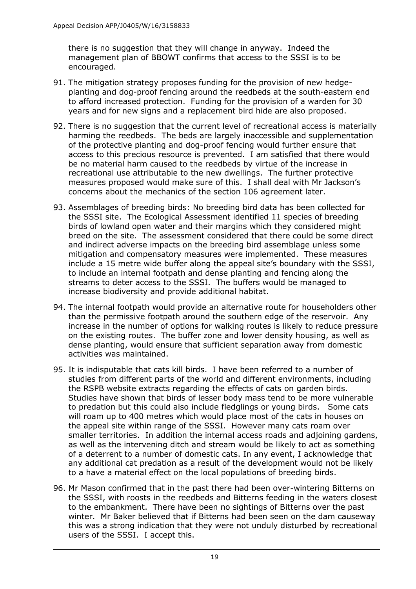there is no suggestion that they will change in anyway. Indeed the management plan of BBOWT confirms that access to the SSSI is to be encouraged.

- 91. The mitigation strategy proposes funding for the provision of new hedgeplanting and dog-proof fencing around the reedbeds at the south-eastern end to afford increased protection. Funding for the provision of a warden for 30 years and for new signs and a replacement bird hide are also proposed.
- 92. There is no suggestion that the current level of recreational access is materially harming the reedbeds. The beds are largely inaccessible and supplementation of the protective planting and dog-proof fencing would further ensure that access to this precious resource is prevented. I am satisfied that there would be no material harm caused to the reedbeds by virtue of the increase in recreational use attributable to the new dwellings. The further protective measures proposed would make sure of this. I shall deal with Mr Jackson's concerns about the mechanics of the section 106 agreement later.
- 93. Assemblages of breeding birds: No breeding bird data has been collected for the SSSI site. The Ecological Assessment identified 11 species of breeding birds of lowland open water and their margins which they considered might breed on the site. The assessment considered that there could be some direct and indirect adverse impacts on the breeding bird assemblage unless some mitigation and compensatory measures were implemented. These measures include a 15 metre wide buffer along the appeal site's boundary with the SSSI, to include an internal footpath and dense planting and fencing along the streams to deter access to the SSSI. The buffers would be managed to increase biodiversity and provide additional habitat.
- 94. The internal footpath would provide an alternative route for householders other than the permissive footpath around the southern edge of the reservoir. Any increase in the number of options for walking routes is likely to reduce pressure on the existing routes. The buffer zone and lower density housing, as well as dense planting, would ensure that sufficient separation away from domestic activities was maintained.
- 95. It is indisputable that cats kill birds. I have been referred to a number of studies from different parts of the world and different environments, including the RSPB website extracts regarding the effects of cats on garden birds. Studies have shown that birds of lesser body mass tend to be more vulnerable to predation but this could also include fledglings or young birds. Some cats will roam up to 400 metres which would place most of the cats in houses on the appeal site within range of the SSSI. However many cats roam over smaller territories. In addition the internal access roads and adjoining gardens, as well as the intervening ditch and stream would be likely to act as something of a deterrent to a number of domestic cats. In any event, I acknowledge that any additional cat predation as a result of the development would not be likely to a have a material effect on the local populations of breeding birds.
- 96. Mr Mason confirmed that in the past there had been over-wintering Bitterns on the SSSI, with roosts in the reedbeds and Bitterns feeding in the waters closest to the embankment. There have been no sightings of Bitterns over the past winter. Mr Baker believed that if Bitterns had been seen on the dam causeway this was a strong indication that they were not unduly disturbed by recreational users of the SSSI. I accept this.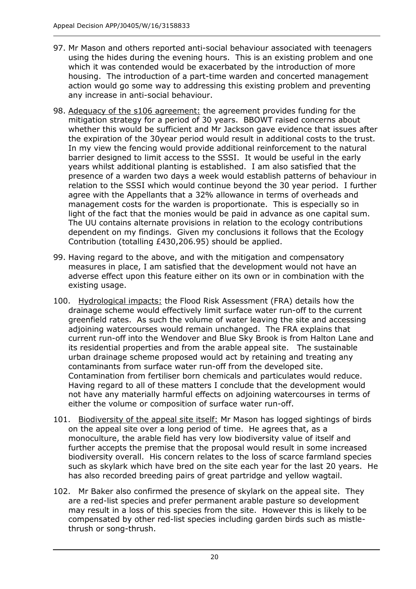- 97. Mr Mason and others reported anti-social behaviour associated with teenagers using the hides during the evening hours. This is an existing problem and one which it was contended would be exacerbated by the introduction of more housing. The introduction of a part-time warden and concerted management action would go some way to addressing this existing problem and preventing any increase in anti-social behaviour.
- 98. Adequacy of the s106 agreement: the agreement provides funding for the mitigation strategy for a period of 30 years. BBOWT raised concerns about whether this would be sufficient and Mr Jackson gave evidence that issues after the expiration of the 30year period would result in additional costs to the trust. In my view the fencing would provide additional reinforcement to the natural barrier designed to limit access to the SSSI. It would be useful in the early years whilst additional planting is established. I am also satisfied that the presence of a warden two days a week would establish patterns of behaviour in relation to the SSSI which would continue beyond the 30 year period. I further agree with the Appellants that a 32% allowance in terms of overheads and management costs for the warden is proportionate. This is especially so in light of the fact that the monies would be paid in advance as one capital sum. The UU contains alternate provisions in relation to the ecology contributions dependent on my findings. Given my conclusions it follows that the Ecology Contribution (totalling £430,206.95) should be applied.
- 99. Having regard to the above, and with the mitigation and compensatory measures in place, I am satisfied that the development would not have an adverse effect upon this feature either on its own or in combination with the existing usage.
- 100. Hydrological impacts: the Flood Risk Assessment (FRA) details how the drainage scheme would effectively limit surface water run-off to the current greenfield rates. As such the volume of water leaving the site and accessing adjoining watercourses would remain unchanged. The FRA explains that current run-off into the Wendover and Blue Sky Brook is from Halton Lane and its residential properties and from the arable appeal site. The sustainable urban drainage scheme proposed would act by retaining and treating any contaminants from surface water run-off from the developed site. Contamination from fertiliser born chemicals and particulates would reduce. Having regard to all of these matters I conclude that the development would not have any materially harmful effects on adjoining watercourses in terms of either the volume or composition of surface water run-off.
- 101. Biodiversity of the appeal site itself: Mr Mason has logged sightings of birds on the appeal site over a long period of time. He agrees that, as a monoculture, the arable field has very low biodiversity value of itself and further accepts the premise that the proposal would result in some increased biodiversity overall. His concern relates to the loss of scarce farmland species such as skylark which have bred on the site each year for the last 20 years. He has also recorded breeding pairs of great partridge and yellow wagtail.
- 102. Mr Baker also confirmed the presence of skylark on the appeal site. They are a red-list species and prefer permanent arable pasture so development may result in a loss of this species from the site. However this is likely to be compensated by other red-list species including garden birds such as mistlethrush or song-thrush.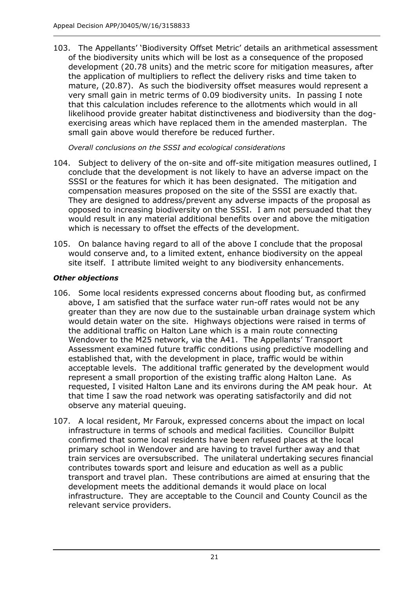103. The Appellants' 'Biodiversity Offset Metric' details an arithmetical assessment of the biodiversity units which will be lost as a consequence of the proposed development (20.78 units) and the metric score for mitigation measures, after the application of multipliers to reflect the delivery risks and time taken to mature, (20.87). As such the biodiversity offset measures would represent a very small gain in metric terms of 0.09 biodiversity units. In passing I note that this calculation includes reference to the allotments which would in all likelihood provide greater habitat distinctiveness and biodiversity than the dogexercising areas which have replaced them in the amended masterplan. The small gain above would therefore be reduced further.

*Overall conclusions on the SSSI and ecological considerations*

- 104. Subject to delivery of the on-site and off-site mitigation measures outlined, I conclude that the development is not likely to have an adverse impact on the SSSI or the features for which it has been designated. The mitigation and compensation measures proposed on the site of the SSSI are exactly that. They are designed to address/prevent any adverse impacts of the proposal as opposed to increasing biodiversity on the SSSI. I am not persuaded that they would result in any material additional benefits over and above the mitigation which is necessary to offset the effects of the development.
- 105. On balance having regard to all of the above I conclude that the proposal would conserve and, to a limited extent, enhance biodiversity on the appeal site itself. I attribute limited weight to any biodiversity enhancements.

# *Other objections*

- 106. Some local residents expressed concerns about flooding but, as confirmed above, I am satisfied that the surface water run-off rates would not be any greater than they are now due to the sustainable urban drainage system which would detain water on the site. Highways objections were raised in terms of the additional traffic on Halton Lane which is a main route connecting Wendover to the M25 network, via the A41. The Appellants' Transport Assessment examined future traffic conditions using predictive modelling and established that, with the development in place, traffic would be within acceptable levels. The additional traffic generated by the development would represent a small proportion of the existing traffic along Halton Lane. As requested, I visited Halton Lane and its environs during the AM peak hour. At that time I saw the road network was operating satisfactorily and did not observe any material queuing.
- 107. A local resident, Mr Farouk, expressed concerns about the impact on local infrastructure in terms of schools and medical facilities. Councillor Bulpitt confirmed that some local residents have been refused places at the local primary school in Wendover and are having to travel further away and that train services are oversubscribed. The unilateral undertaking secures financial contributes towards sport and leisure and education as well as a public transport and travel plan. These contributions are aimed at ensuring that the development meets the additional demands it would place on local infrastructure. They are acceptable to the Council and County Council as the relevant service providers.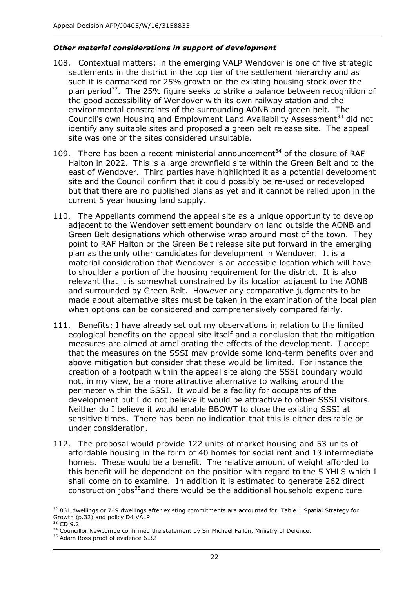#### *Other material considerations in support of development*

- 108. Contextual matters: in the emerging VALP Wendover is one of five strategic settlements in the district in the top tier of the settlement hierarchy and as such it is earmarked for 25% growth on the existing housing stock over the plan period<sup>32</sup>. The 25% figure seeks to strike a balance between recognition of the good accessibility of Wendover with its own railway station and the environmental constraints of the surrounding AONB and green belt. The Council's own Housing and Employment Land Availability Assessment<sup>33</sup> did not identify any suitable sites and proposed a green belt release site. The appeal site was one of the sites considered unsuitable.
- 109. There has been a recent ministerial announcement $^{34}$  of the closure of RAF Halton in 2022. This is a large brownfield site within the Green Belt and to the east of Wendover. Third parties have highlighted it as a potential development site and the Council confirm that it could possibly be re-used or redeveloped but that there are no published plans as yet and it cannot be relied upon in the current 5 year housing land supply.
- 110. The Appellants commend the appeal site as a unique opportunity to develop adjacent to the Wendover settlement boundary on land outside the AONB and Green Belt designations which otherwise wrap around most of the town. They point to RAF Halton or the Green Belt release site put forward in the emerging plan as the only other candidates for development in Wendover. It is a material consideration that Wendover is an accessible location which will have to shoulder a portion of the housing requirement for the district. It is also relevant that it is somewhat constrained by its location adjacent to the AONB and surrounded by Green Belt. However any comparative judgments to be made about alternative sites must be taken in the examination of the local plan when options can be considered and comprehensively compared fairly.
- 111. Benefits: I have already set out my observations in relation to the limited ecological benefits on the appeal site itself and a conclusion that the mitigation measures are aimed at ameliorating the effects of the development. I accept that the measures on the SSSI may provide some long-term benefits over and above mitigation but consider that these would be limited. For instance the creation of a footpath within the appeal site along the SSSI boundary would not, in my view, be a more attractive alternative to walking around the perimeter within the SSSI. It would be a facility for occupants of the development but I do not believe it would be attractive to other SSSI visitors. Neither do I believe it would enable BBOWT to close the existing SSSI at sensitive times. There has been no indication that this is either desirable or under consideration.
- 112. The proposal would provide 122 units of market housing and 53 units of affordable housing in the form of 40 homes for social rent and 13 intermediate homes. These would be a benefit. The relative amount of weight afforded to this benefit will be dependent on the position with regard to the 5 YHLS which I shall come on to examine. In addition it is estimated to generate 262 direct construction jobs<sup>35</sup>and there would be the additional household expenditure

j <sup>32</sup> 861 dwellings or 749 dwellings after existing commitments are accounted for. Table 1 Spatial Strategy for Growth (p.32) and policy D4 VALP

 $33$  CD 9.2

<sup>&</sup>lt;sup>34</sup> Councillor Newcombe confirmed the statement by Sir Michael Fallon, Ministry of Defence.

<sup>&</sup>lt;sup>35</sup> Adam Ross proof of evidence 6.32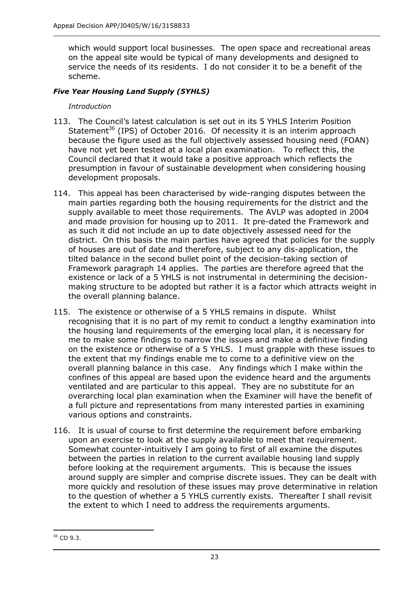which would support local businesses. The open space and recreational areas on the appeal site would be typical of many developments and designed to service the needs of its residents. I do not consider it to be a benefit of the scheme.

## *Five Year Housing Land Supply (5YHLS)*

## *Introduction*

- 113. The Council's latest calculation is set out in its 5 YHLS Interim Position Statement<sup>36</sup> (IPS) of October 2016. Of necessity it is an interim approach because the figure used as the full objectively assessed housing need (FOAN) have not yet been tested at a local plan examination. To reflect this, the Council declared that it would take a positive approach which reflects the presumption in favour of sustainable development when considering housing development proposals.
- 114. This appeal has been characterised by wide-ranging disputes between the main parties regarding both the housing requirements for the district and the supply available to meet those requirements. The AVLP was adopted in 2004 and made provision for housing up to 2011. It pre-dated the Framework and as such it did not include an up to date objectively assessed need for the district. On this basis the main parties have agreed that policies for the supply of houses are out of date and therefore, subject to any dis-application, the tilted balance in the second bullet point of the decision-taking section of Framework paragraph 14 applies. The parties are therefore agreed that the existence or lack of a 5 YHLS is not instrumental in determining the decisionmaking structure to be adopted but rather it is a factor which attracts weight in the overall planning balance.
- 115. The existence or otherwise of a 5 YHLS remains in dispute. Whilst recognising that it is no part of my remit to conduct a lengthy examination into the housing land requirements of the emerging local plan, it is necessary for me to make some findings to narrow the issues and make a definitive finding on the existence or otherwise of a 5 YHLS. I must grapple with these issues to the extent that my findings enable me to come to a definitive view on the overall planning balance in this case. Any findings which I make within the confines of this appeal are based upon the evidence heard and the arguments ventilated and are particular to this appeal. They are no substitute for an overarching local plan examination when the Examiner will have the benefit of a full picture and representations from many interested parties in examining various options and constraints.
- 116. It is usual of course to first determine the requirement before embarking upon an exercise to look at the supply available to meet that requirement. Somewhat counter-intuitively I am going to first of all examine the disputes between the parties in relation to the current available housing land supply before looking at the requirement arguments. This is because the issues around supply are simpler and comprise discrete issues. They can be dealt with more quickly and resolution of these issues may prove determinative in relation to the question of whether a 5 YHLS currently exists. Thereafter I shall revisit the extent to which I need to address the requirements arguments.

<sup>-</sup><sup>36</sup> CD 9.3.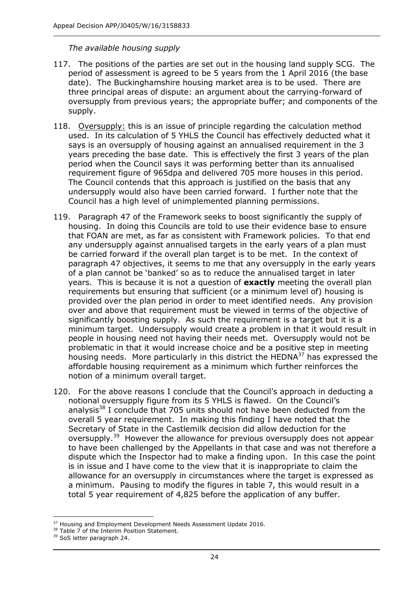## *The available housing supply*

- 117. The positions of the parties are set out in the housing land supply SCG. The period of assessment is agreed to be 5 years from the 1 April 2016 (the base date). The Buckinghamshire housing market area is to be used. There are three principal areas of dispute: an argument about the carrying-forward of oversupply from previous years; the appropriate buffer; and components of the supply.
- 118. Oversupply: this is an issue of principle regarding the calculation method used. In its calculation of 5 YHLS the Council has effectively deducted what it says is an oversupply of housing against an annualised requirement in the 3 years preceding the base date. This is effectively the first 3 years of the plan period when the Council says it was performing better than its annualised requirement figure of 965dpa and delivered 705 more houses in this period. The Council contends that this approach is justified on the basis that any undersupply would also have been carried forward. I further note that the Council has a high level of unimplemented planning permissions.
- 119. Paragraph 47 of the Framework seeks to boost significantly the supply of housing. In doing this Councils are told to use their evidence base to ensure that FOAN are met, as far as consistent with Framework policies. To that end any undersupply against annualised targets in the early years of a plan must be carried forward if the overall plan target is to be met. In the context of paragraph 47 objectives, it seems to me that any oversupply in the early years of a plan cannot be 'banked' so as to reduce the annualised target in later years. This is because it is not a question of **exactly** meeting the overall plan requirements but ensuring that sufficient (or a minimum level of) housing is provided over the plan period in order to meet identified needs. Any provision over and above that requirement must be viewed in terms of the objective of significantly boosting supply. As such the requirement is a target but it is a minimum target. Undersupply would create a problem in that it would result in people in housing need not having their needs met. Oversupply would not be problematic in that it would increase choice and be a positive step in meeting housing needs. More particularly in this district the HEDNA<sup>37</sup> has expressed the affordable housing requirement as a minimum which further reinforces the notion of a minimum overall target.
- 120. For the above reasons I conclude that the Council's approach in deducting a notional oversupply figure from its 5 YHLS is flawed. On the Council's analysis $38$  I conclude that 705 units should not have been deducted from the overall 5 year requirement. In making this finding I have noted that the Secretary of State in the Castlemilk decision did allow deduction for the oversupply.<sup>39</sup> However the allowance for previous oversupply does not appear to have been challenged by the Appellants in that case and was not therefore a dispute which the Inspector had to make a finding upon. In this case the point is in issue and I have come to the view that it is inappropriate to claim the allowance for an oversupply in circumstances where the target is expressed as a minimum. Pausing to modify the figures in table 7, this would result in a total 5 year requirement of 4,825 before the application of any buffer.

j <sup>37</sup> Housing and Employment Development Needs Assessment Update 2016.

<sup>&</sup>lt;sup>38</sup> Table 7 of the Interim Position Statement.

<sup>&</sup>lt;sup>39</sup> SoS letter paragraph 24.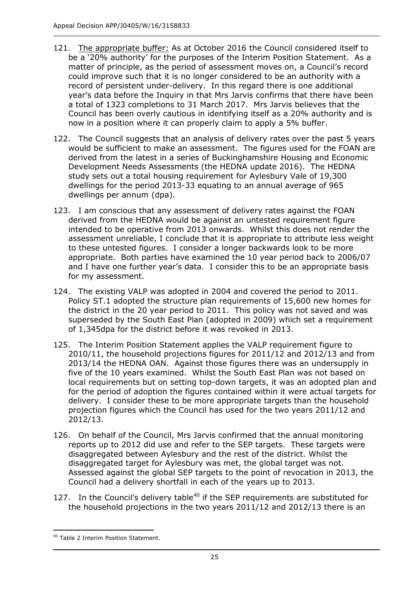- 121. The appropriate buffer: As at October 2016 the Council considered itself to be a '20% authority' for the purposes of the Interim Position Statement. As a matter of principle, as the period of assessment moves on, a Council's record could improve such that it is no longer considered to be an authority with a record of persistent under-delivery. In this regard there is one additional year's data before the Inquiry in that Mrs Jarvis confirms that there have been a total of 1323 completions to 31 March 2017. Mrs Jarvis believes that the Council has been overly cautious in identifying itself as a 20% authority and is now in a position where it can properly claim to apply a 5% buffer.
- 122. The Council suggests that an analysis of delivery rates over the past 5 years would be sufficient to make an assessment. The figures used for the FOAN are derived from the latest in a series of Buckinghamshire Housing and Economic Development Needs Assessments (the HEDNA update 2016). The HEDNA study sets out a total housing requirement for Aylesbury Vale of 19,300 dwellings for the period 2013-33 equating to an annual average of 965 dwellings per annum (dpa).
- 123. I am conscious that any assessment of delivery rates against the FOAN derived from the HEDNA would be against an untested requirement figure intended to be operative from 2013 onwards. Whilst this does not render the assessment unreliable, I conclude that it is appropriate to attribute less weight to these untested figures. I consider a longer backwards look to be more appropriate. Both parties have examined the 10 year period back to 2006/07 and I have one further year's data. I consider this to be an appropriate basis for my assessment.
- 124. The existing VALP was adopted in 2004 and covered the period to 2011. Policy ST.1 adopted the structure plan requirements of 15,600 new homes for the district in the 20 year period to 2011. This policy was not saved and was superseded by the South East Plan (adopted in 2009) which set a requirement of 1,345dpa for the district before it was revoked in 2013.
- 125. The Interim Position Statement applies the VALP requirement figure to 2010/11, the household projections figures for 2011/12 and 2012/13 and from 2013/14 the HEDNA OAN. Against those figures there was an undersupply in five of the 10 years examined. Whilst the South East Plan was not based on local requirements but on setting top-down targets, it was an adopted plan and for the period of adoption the figures contained within it were actual targets for delivery. I consider these to be more appropriate targets than the household projection figures which the Council has used for the two years 2011/12 and 2012/13.
- 126. On behalf of the Council, Mrs Jarvis confirmed that the annual monitoring reports up to 2012 did use and refer to the SEP targets. These targets were disaggregated between Aylesbury and the rest of the district. Whilst the disaggregated target for Aylesbury was met, the global target was not. Assessed against the global SEP targets to the point of revocation in 2013, the Council had a delivery shortfall in each of the years up to 2013.
- 127. In the Council's delivery table<sup>40</sup> if the SEP requirements are substituted for the household projections in the two years 2011/12 and 2012/13 there is an

-

<sup>40</sup> Table 2 Interim Position Statement.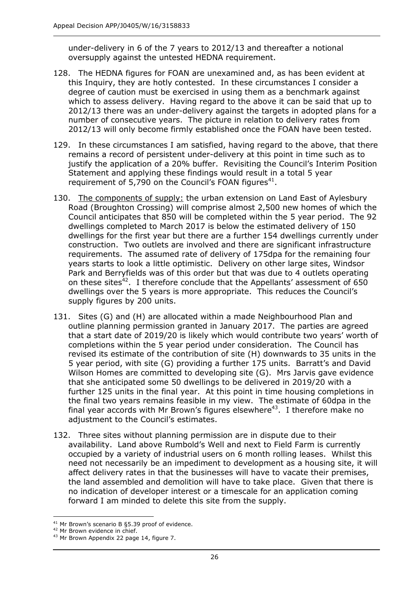under-delivery in 6 of the 7 years to 2012/13 and thereafter a notional oversupply against the untested HEDNA requirement.

- 128. The HEDNA figures for FOAN are unexamined and, as has been evident at this Inquiry, they are hotly contested. In these circumstances I consider a degree of caution must be exercised in using them as a benchmark against which to assess delivery. Having regard to the above it can be said that up to 2012/13 there was an under-delivery against the targets in adopted plans for a number of consecutive years. The picture in relation to delivery rates from 2012/13 will only become firmly established once the FOAN have been tested.
- 129. In these circumstances I am satisfied, having regard to the above, that there remains a record of persistent under-delivery at this point in time such as to justify the application of a 20% buffer. Revisiting the Council's Interim Position Statement and applying these findings would result in a total 5 year requirement of 5,790 on the Council's FOAN figures<sup>41</sup>.
- 130. The components of supply: the urban extension on Land East of Aylesbury Road (Broughton Crossing) will comprise almost 2,500 new homes of which the Council anticipates that 850 will be completed within the 5 year period. The 92 dwellings completed to March 2017 is below the estimated delivery of 150 dwellings for the first year but there are a further 154 dwellings currently under construction. Two outlets are involved and there are significant infrastructure requirements. The assumed rate of delivery of 175dpa for the remaining four years starts to look a little optimistic. Delivery on other large sites, Windsor Park and Berryfields was of this order but that was due to 4 outlets operating on these sites<sup>42</sup>. I therefore conclude that the Appellants' assessment of  $650$ dwellings over the 5 years is more appropriate. This reduces the Council's supply figures by 200 units.
- 131. Sites (G) and (H) are allocated within a made Neighbourhood Plan and outline planning permission granted in January 2017. The parties are agreed that a start date of 2019/20 is likely which would contribute two years' worth of completions within the 5 year period under consideration. The Council has revised its estimate of the contribution of site (H) downwards to 35 units in the 5 year period, with site (G) providing a further 175 units. Barratt's and David Wilson Homes are committed to developing site (G). Mrs Jarvis gave evidence that she anticipated some 50 dwellings to be delivered in 2019/20 with a further 125 units in the final year. At this point in time housing completions in the final two years remains feasible in my view. The estimate of 60dpa in the final year accords with Mr Brown's figures elsewhere<sup>43</sup>. I therefore make no adjustment to the Council's estimates.
- 132. Three sites without planning permission are in dispute due to their availability. Land above Rumbold's Well and next to Field Farm is currently occupied by a variety of industrial users on 6 month rolling leases. Whilst this need not necessarily be an impediment to development as a housing site, it will affect delivery rates in that the businesses will have to vacate their premises, the land assembled and demolition will have to take place. Given that there is no indication of developer interest or a timescale for an application coming forward I am minded to delete this site from the supply.

j <sup>41</sup> Mr Brown's scenario B §5.39 proof of evidence.

<sup>&</sup>lt;sup>42</sup> Mr Brown evidence in chief.

<sup>&</sup>lt;sup>43</sup> Mr Brown Appendix 22 page 14, figure 7.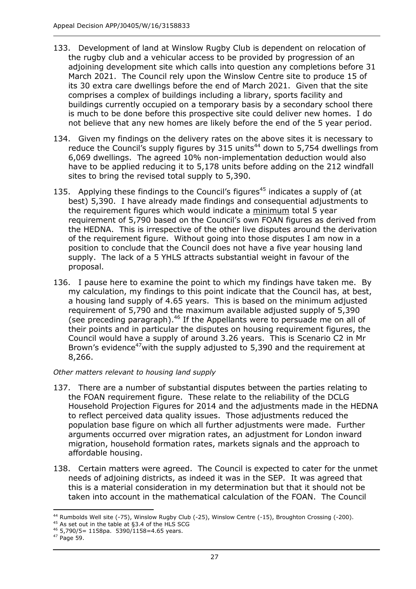- 133. Development of land at Winslow Rugby Club is dependent on relocation of the rugby club and a vehicular access to be provided by progression of an adjoining development site which calls into question any completions before 31 March 2021. The Council rely upon the Winslow Centre site to produce 15 of its 30 extra care dwellings before the end of March 2021. Given that the site comprises a complex of buildings including a library, sports facility and buildings currently occupied on a temporary basis by a secondary school there is much to be done before this prospective site could deliver new homes. I do not believe that any new homes are likely before the end of the 5 year period.
- 134. Given my findings on the delivery rates on the above sites it is necessary to reduce the Council's supply figures by 315 units<sup>44</sup> down to 5,754 dwellings from 6,069 dwellings. The agreed 10% non-implementation deduction would also have to be applied reducing it to 5,178 units before adding on the 212 windfall sites to bring the revised total supply to 5,390.
- 135. Applying these findings to the Council's figures<sup>45</sup> indicates a supply of (at best) 5,390. I have already made findings and consequential adjustments to the requirement figures which would indicate a minimum total 5 year requirement of 5,790 based on the Council's own FOAN figures as derived from the HEDNA. This is irrespective of the other live disputes around the derivation of the requirement figure. Without going into those disputes I am now in a position to conclude that the Council does not have a five year housing land supply. The lack of a 5 YHLS attracts substantial weight in favour of the proposal.
- 136. I pause here to examine the point to which my findings have taken me. By my calculation, my findings to this point indicate that the Council has, at best, a housing land supply of 4.65 years. This is based on the minimum adjusted requirement of 5,790 and the maximum available adjusted supply of 5,390 (see preceding paragraph).<sup>46</sup> If the Appellants were to persuade me on all of their points and in particular the disputes on housing requirement figures, the Council would have a supply of around 3.26 years. This is Scenario C2 in Mr Brown's evidence<sup>47</sup> with the supply adjusted to 5,390 and the requirement at 8,266.

#### *Other matters relevant to housing land supply*

- 137. There are a number of substantial disputes between the parties relating to the FOAN requirement figure. These relate to the reliability of the DCLG Household Projection Figures for 2014 and the adjustments made in the HEDNA to reflect perceived data quality issues. Those adjustments reduced the population base figure on which all further adjustments were made. Further arguments occurred over migration rates, an adjustment for London inward migration, household formation rates, markets signals and the approach to affordable housing.
- 138. Certain matters were agreed. The Council is expected to cater for the unmet needs of adjoining districts, as indeed it was in the SEP. It was agreed that this is a material consideration in my determination but that it should not be taken into account in the mathematical calculation of the FOAN. The Council

j <sup>44</sup> Rumbolds Well site (-75), Winslow Rugby Club (-25), Winslow Centre (-15), Broughton Crossing (-200).

 $45$  As set out in the table at §3.4 of the HLS SCG

<sup>46</sup> 5,790/5= 1158pa. 5390/1158=4.65 years.

<sup>47</sup> Page 59.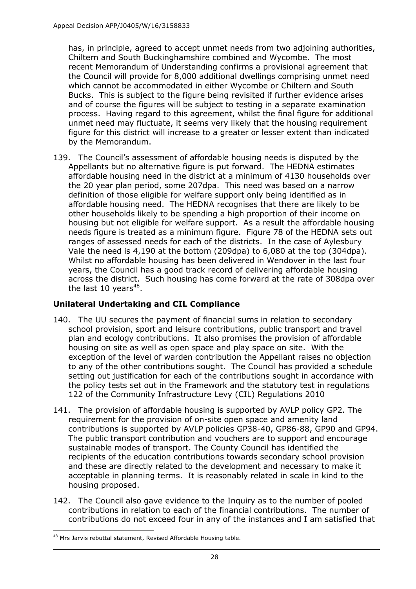has, in principle, agreed to accept unmet needs from two adjoining authorities, Chiltern and South Buckinghamshire combined and Wycombe. The most recent Memorandum of Understanding confirms a provisional agreement that the Council will provide for 8,000 additional dwellings comprising unmet need which cannot be accommodated in either Wycombe or Chiltern and South Bucks. This is subject to the figure being revisited if further evidence arises and of course the figures will be subject to testing in a separate examination process. Having regard to this agreement, whilst the final figure for additional unmet need may fluctuate, it seems very likely that the housing requirement figure for this district will increase to a greater or lesser extent than indicated by the Memorandum.

139. The Council's assessment of affordable housing needs is disputed by the Appellants but no alternative figure is put forward. The HEDNA estimates affordable housing need in the district at a minimum of 4130 households over the 20 year plan period, some 207dpa. This need was based on a narrow definition of those eligible for welfare support only being identified as in affordable housing need. The HEDNA recognises that there are likely to be other households likely to be spending a high proportion of their income on housing but not eligible for welfare support. As a result the affordable housing needs figure is treated as a minimum figure. Figure 78 of the HEDNA sets out ranges of assessed needs for each of the districts. In the case of Aylesbury Vale the need is 4,190 at the bottom (209dpa) to 6,080 at the top (304dpa). Whilst no affordable housing has been delivered in Wendover in the last four years, the Council has a good track record of delivering affordable housing across the district. Such housing has come forward at the rate of 308dpa over the last 10 years<sup>48</sup>.

# **Unilateral Undertaking and CIL Compliance**

- 140. The UU secures the payment of financial sums in relation to secondary school provision, sport and leisure contributions, public transport and travel plan and ecology contributions. It also promises the provision of affordable housing on site as well as open space and play space on site. With the exception of the level of warden contribution the Appellant raises no objection to any of the other contributions sought. The Council has provided a schedule setting out justification for each of the contributions sought in accordance with the policy tests set out in the Framework and the statutory test in regulations 122 of the Community Infrastructure Levy (CIL) Regulations 2010
- 141. The provision of affordable housing is supported by AVLP policy GP2. The requirement for the provision of on-site open space and amenity land contributions is supported by AVLP policies GP38-40, GP86-88, GP90 and GP94. The public transport contribution and vouchers are to support and encourage sustainable modes of transport. The County Council has identified the recipients of the education contributions towards secondary school provision and these are directly related to the development and necessary to make it acceptable in planning terms. It is reasonably related in scale in kind to the housing proposed.
- 142. The Council also gave evidence to the Inquiry as to the number of pooled contributions in relation to each of the financial contributions. The number of contributions do not exceed four in any of the instances and I am satisfied that

<sup>-</sup>48 Mrs Jarvis rebuttal statement, Revised Affordable Housing table.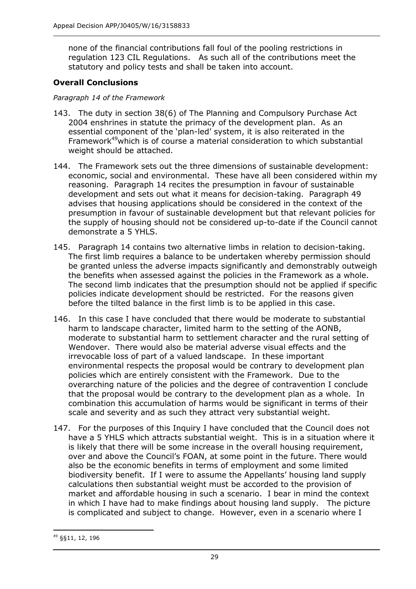none of the financial contributions fall foul of the pooling restrictions in regulation 123 CIL Regulations. As such all of the contributions meet the statutory and policy tests and shall be taken into account.

## **Overall Conclusions**

#### *Paragraph 14 of the Framework*

- 143. The duty in section 38(6) of The Planning and Compulsory Purchase Act 2004 enshrines in statute the primacy of the development plan. As an essential component of the 'plan-led' system, it is also reiterated in the Framework<sup>49</sup> which is of course a material consideration to which substantial weight should be attached.
- 144. The Framework sets out the three dimensions of sustainable development: economic, social and environmental. These have all been considered within my reasoning. Paragraph 14 recites the presumption in favour of sustainable development and sets out what it means for decision-taking. Paragraph 49 advises that housing applications should be considered in the context of the presumption in favour of sustainable development but that relevant policies for the supply of housing should not be considered up-to-date if the Council cannot demonstrate a 5 YHLS.
- 145. Paragraph 14 contains two alternative limbs in relation to decision-taking. The first limb requires a balance to be undertaken whereby permission should be granted unless the adverse impacts significantly and demonstrably outweigh the benefits when assessed against the policies in the Framework as a whole. The second limb indicates that the presumption should not be applied if specific policies indicate development should be restricted. For the reasons given before the tilted balance in the first limb is to be applied in this case.
- 146. In this case I have concluded that there would be moderate to substantial harm to landscape character, limited harm to the setting of the AONB, moderate to substantial harm to settlement character and the rural setting of Wendover. There would also be material adverse visual effects and the irrevocable loss of part of a valued landscape. In these important environmental respects the proposal would be contrary to development plan policies which are entirely consistent with the Framework. Due to the overarching nature of the policies and the degree of contravention I conclude that the proposal would be contrary to the development plan as a whole. In combination this accumulation of harms would be significant in terms of their scale and severity and as such they attract very substantial weight.
- 147. For the purposes of this Inquiry I have concluded that the Council does not have a 5 YHLS which attracts substantial weight. This is in a situation where it is likely that there will be some increase in the overall housing requirement, over and above the Council's FOAN, at some point in the future. There would also be the economic benefits in terms of employment and some limited biodiversity benefit. If I were to assume the Appellants' housing land supply calculations then substantial weight must be accorded to the provision of market and affordable housing in such a scenario. I bear in mind the context in which I have had to make findings about housing land supply. The picture is complicated and subject to change. However, even in a scenario where I

<sup>-</sup><sup>49</sup> §§11, 12, 196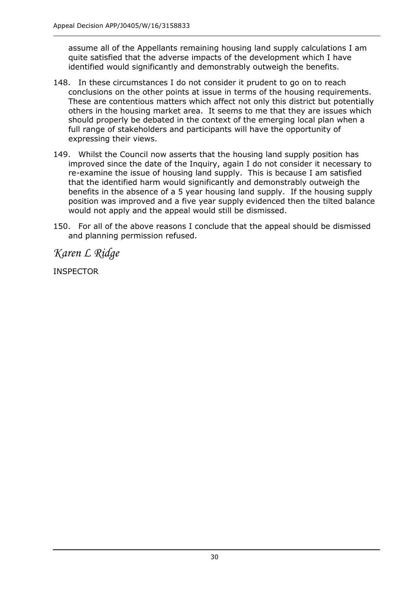assume all of the Appellants remaining housing land supply calculations I am quite satisfied that the adverse impacts of the development which I have identified would significantly and demonstrably outweigh the benefits.

- 148. In these circumstances I do not consider it prudent to go on to reach conclusions on the other points at issue in terms of the housing requirements. These are contentious matters which affect not only this district but potentially others in the housing market area. It seems to me that they are issues which should properly be debated in the context of the emerging local plan when a full range of stakeholders and participants will have the opportunity of expressing their views.
- 149. Whilst the Council now asserts that the housing land supply position has improved since the date of the Inquiry, again I do not consider it necessary to re-examine the issue of housing land supply. This is because I am satisfied that the identified harm would significantly and demonstrably outweigh the benefits in the absence of a 5 year housing land supply. If the housing supply position was improved and a five year supply evidenced then the tilted balance would not apply and the appeal would still be dismissed.
- 150. For all of the above reasons I conclude that the appeal should be dismissed and planning permission refused.

*Karen L Ridge*

INSPECTOR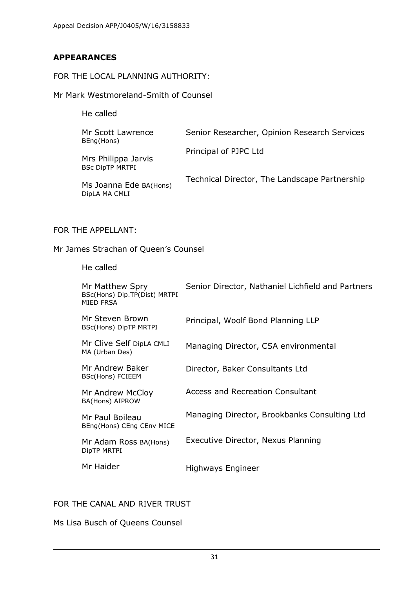## **APPEARANCES**

#### FOR THE LOCAL PLANNING AUTHORITY:

Mr Mark Westmoreland-Smith of Counsel

He called

| Mr Scott Lawrence<br>BEng(Hons)               | Senior Researcher, Opinion Research Services  |
|-----------------------------------------------|-----------------------------------------------|
| Mrs Philippa Jarvis<br><b>BSc DipTP MRTPI</b> | Principal of PJPC Ltd                         |
| Ms Joanna Ede BA(Hons)<br>DipLA MA CMLI       | Technical Director, The Landscape Partnership |

#### FOR THE APPELLANT:

Mr James Strachan of Queen's Counsel

#### He called

| Mr Matthew Spry<br>BSc(Hons) Dip.TP(Dist) MRTPI<br>MIED FRSA | Senior Director, Nathaniel Lichfield and Partners |
|--------------------------------------------------------------|---------------------------------------------------|
| Mr Steven Brown<br>BSc(Hons) DipTP MRTPI                     | Principal, Woolf Bond Planning LLP                |
| Mr Clive Self DipLA CMLI<br>MA (Urban Des)                   | Managing Director, CSA environmental              |
| Mr Andrew Baker<br>BSc(Hons) FCIEEM                          | Director, Baker Consultants Ltd                   |
| Mr Andrew McCloy<br>BA(Hons) AIPROW                          | <b>Access and Recreation Consultant</b>           |
| Mr Paul Boileau<br>BEng(Hons) CEng CEnv MICE                 | Managing Director, Brookbanks Consulting Ltd      |
| Mr Adam Ross BA(Hons)<br>DipTP MRTPI                         | Executive Director, Nexus Planning                |
| Mr Haider                                                    | Highways Engineer                                 |

## FOR THE CANAL AND RIVER TRUST

Ms Lisa Busch of Queens Counsel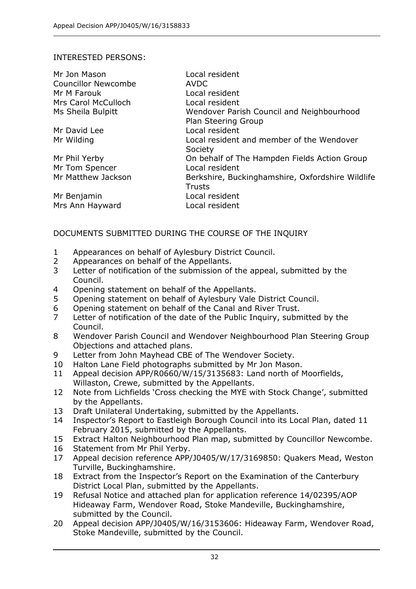#### INTERESTED PERSONS:

| Mr Jon Mason               | Local resident                                   |
|----------------------------|--------------------------------------------------|
| <b>Councillor Newcombe</b> | <b>AVDC</b>                                      |
| Mr M Farouk                | Local resident                                   |
| <b>Mrs Carol McCulloch</b> | Local resident                                   |
| Ms Sheila Bulpitt          | Wendover Parish Council and Neighbourhood        |
|                            | Plan Steering Group                              |
| Mr David Lee               | Local resident                                   |
| Mr Wilding                 | Local resident and member of the Wendover        |
|                            | Society                                          |
| Mr Phil Yerby              | On behalf of The Hampden Fields Action Group     |
| Mr Tom Spencer             | Local resident                                   |
| Mr Matthew Jackson         | Berkshire, Buckinghamshire, Oxfordshire Wildlife |
|                            | <b>Trusts</b>                                    |
| Mr Benjamin                | Local resident                                   |
| Mrs Ann Hayward            | Local resident                                   |

## DOCUMENTS SUBMITTED DURING THE COURSE OF THE INQUIRY

- 1 Appearances on behalf of Aylesbury District Council.
- 2 Appearances on behalf of the Appellants.
- 3 Letter of notification of the submission of the appeal, submitted by the Council.
- 4 Opening statement on behalf of the Appellants.
- 5 Opening statement on behalf of Aylesbury Vale District Council.
- 6 Opening statement on behalf of the Canal and River Trust.
- 7 Letter of notification of the date of the Public Inquiry, submitted by the Council.
- 8 Wendover Parish Council and Wendover Neighbourhood Plan Steering Group Objections and attached plans.
- 9 Letter from John Mayhead CBE of The Wendover Society.
- 10 Halton Lane Field photographs submitted by Mr Jon Mason.
- 11 Appeal decision APP/R0660/W/15/3135683: Land north of Moorfields, Willaston, Crewe, submitted by the Appellants.
- 12 Note from Lichfields 'Cross checking the MYE with Stock Change', submitted by the Appellants.
- 13 Draft Unilateral Undertaking, submitted by the Appellants.
- 14 Inspector's Report to Eastleigh Borough Council into its Local Plan, dated 11 February 2015, submitted by the Appellants.
- 15 Extract Halton Neighbourhood Plan map, submitted by Councillor Newcombe.
- 16 Statement from Mr Phil Yerby.
- 17 Appeal decision reference APP/J0405/W/17/3169850: Quakers Mead, Weston Turville, Buckinghamshire.
- 18 Extract from the Inspector's Report on the Examination of the Canterbury District Local Plan, submitted by the Appellants.
- 19 Refusal Notice and attached plan for application reference 14/02395/AOP Hideaway Farm, Wendover Road, Stoke Mandeville, Buckinghamshire, submitted by the Council.
- 20 Appeal decision APP/J0405/W/16/3153606: Hideaway Farm, Wendover Road, Stoke Mandeville, submitted by the Council.